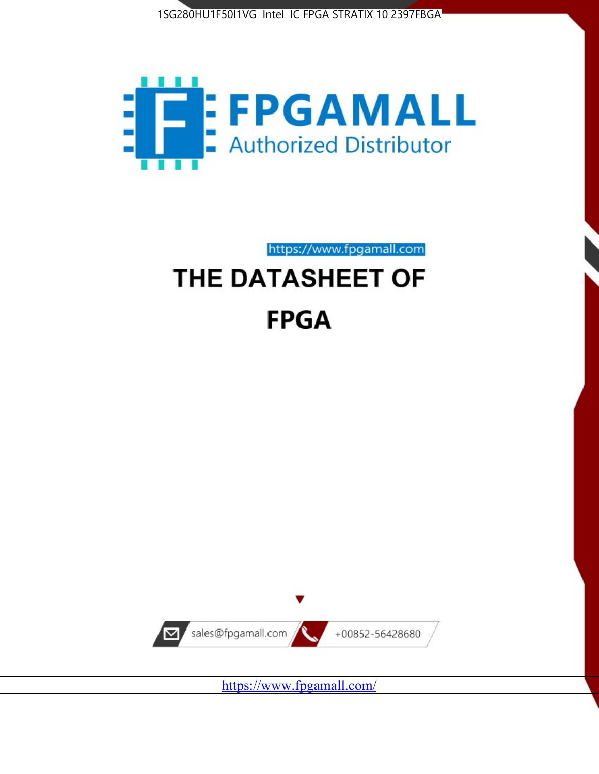



https://www.fpgamall.com

# THE DATASHEET OF **FPGA**



<https://www.fpgamall.com/>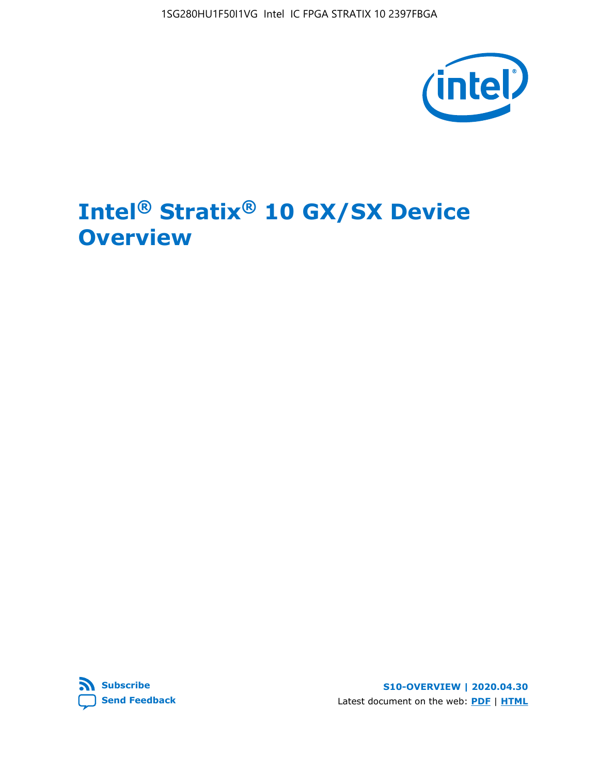1SG280HU1F50I1VG Intel IC FPGA STRATIX 10 2397FBGA



# **Intel® Stratix® 10 GX/SX Device Overview**



**S10-OVERVIEW | 2020.04.30** Latest document on the web: **[PDF](https://www.intel.com/content/dam/www/programmable/us/en/pdfs/literature/hb/stratix-10/s10-overview.pdf)** | **[HTML](https://www.intel.com/content/www/us/en/programmable/documentation/joc1442261161666.html)**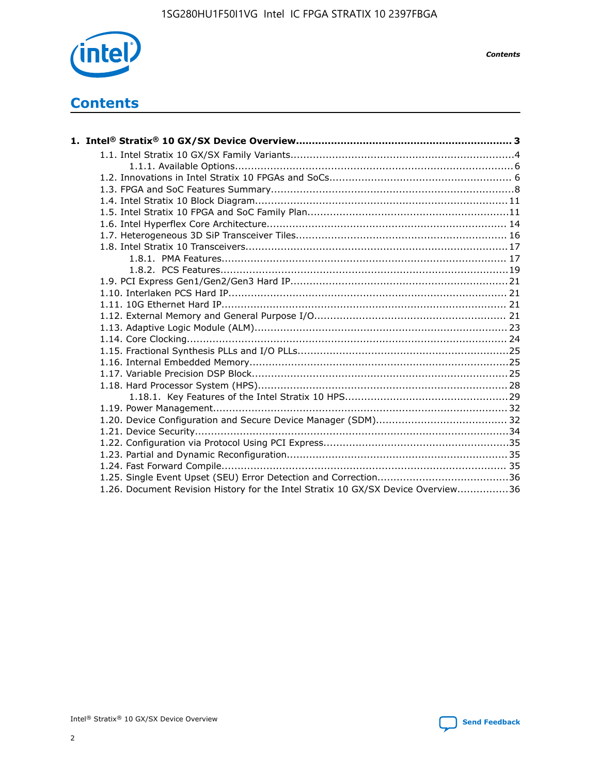

*Contents*

# **Contents**

| 1.26. Document Revision History for the Intel Stratix 10 GX/SX Device Overview36 |  |
|----------------------------------------------------------------------------------|--|

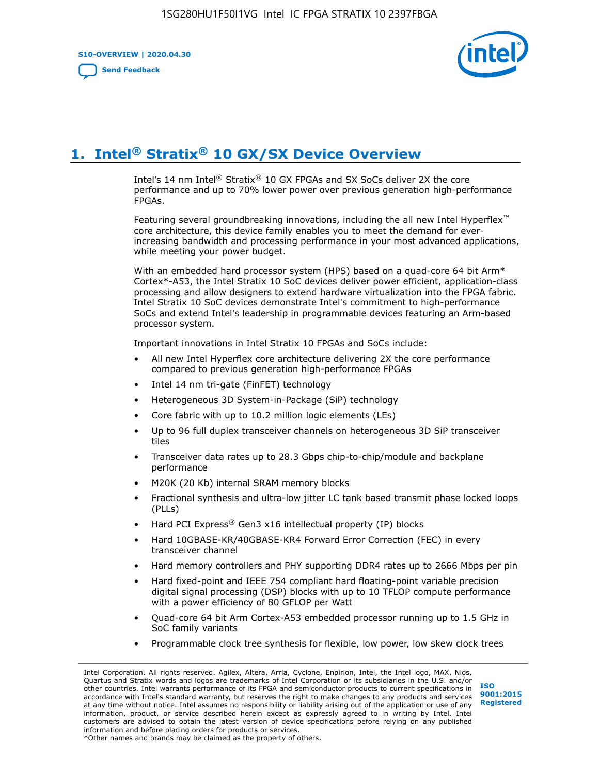**S10-OVERVIEW | 2020.04.30**

**[Send Feedback](mailto:FPGAtechdocfeedback@intel.com?subject=Feedback%20on%20Intel%20Stratix%2010%20GX/SX%20Device%20Overview%20(S10-OVERVIEW%202020.04.30)&body=We%20appreciate%20your%20feedback.%20In%20your%20comments,%20also%20specify%20the%20page%20number%20or%20paragraph.%20Thank%20you.)**



# **1. Intel® Stratix® 10 GX/SX Device Overview**

Intel's 14 nm Intel® Stratix® 10 GX FPGAs and SX SoCs deliver 2X the core performance and up to 70% lower power over previous generation high-performance FPGAs.

Featuring several groundbreaking innovations, including the all new Intel Hyperflex™ core architecture, this device family enables you to meet the demand for everincreasing bandwidth and processing performance in your most advanced applications, while meeting your power budget.

With an embedded hard processor system (HPS) based on a quad-core 64 bit Arm\* Cortex\*-A53, the Intel Stratix 10 SoC devices deliver power efficient, application-class processing and allow designers to extend hardware virtualization into the FPGA fabric. Intel Stratix 10 SoC devices demonstrate Intel's commitment to high-performance SoCs and extend Intel's leadership in programmable devices featuring an Arm-based processor system.

Important innovations in Intel Stratix 10 FPGAs and SoCs include:

- All new Intel Hyperflex core architecture delivering 2X the core performance compared to previous generation high-performance FPGAs
- Intel 14 nm tri-gate (FinFET) technology
- Heterogeneous 3D System-in-Package (SiP) technology
- Core fabric with up to 10.2 million logic elements (LEs)
- Up to 96 full duplex transceiver channels on heterogeneous 3D SiP transceiver tiles
- Transceiver data rates up to 28.3 Gbps chip-to-chip/module and backplane performance
- M20K (20 Kb) internal SRAM memory blocks
- Fractional synthesis and ultra-low jitter LC tank based transmit phase locked loops (PLLs)
- Hard PCI Express<sup>®</sup> Gen3 x16 intellectual property (IP) blocks
- Hard 10GBASE-KR/40GBASE-KR4 Forward Error Correction (FEC) in every transceiver channel
- Hard memory controllers and PHY supporting DDR4 rates up to 2666 Mbps per pin
- Hard fixed-point and IEEE 754 compliant hard floating-point variable precision digital signal processing (DSP) blocks with up to 10 TFLOP compute performance with a power efficiency of 80 GFLOP per Watt
- Quad-core 64 bit Arm Cortex-A53 embedded processor running up to 1.5 GHz in SoC family variants
- Programmable clock tree synthesis for flexible, low power, low skew clock trees

Intel Corporation. All rights reserved. Agilex, Altera, Arria, Cyclone, Enpirion, Intel, the Intel logo, MAX, Nios, Quartus and Stratix words and logos are trademarks of Intel Corporation or its subsidiaries in the U.S. and/or other countries. Intel warrants performance of its FPGA and semiconductor products to current specifications in accordance with Intel's standard warranty, but reserves the right to make changes to any products and services at any time without notice. Intel assumes no responsibility or liability arising out of the application or use of any information, product, or service described herein except as expressly agreed to in writing by Intel. Intel customers are advised to obtain the latest version of device specifications before relying on any published information and before placing orders for products or services. \*Other names and brands may be claimed as the property of others.

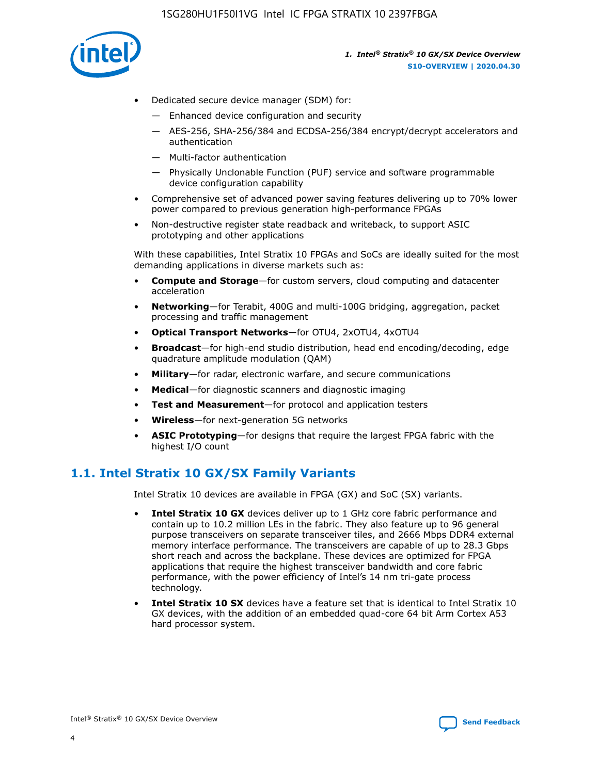

- Dedicated secure device manager (SDM) for:
	- Enhanced device configuration and security
	- AES-256, SHA-256/384 and ECDSA-256/384 encrypt/decrypt accelerators and authentication
	- Multi-factor authentication
	- Physically Unclonable Function (PUF) service and software programmable device configuration capability
- Comprehensive set of advanced power saving features delivering up to 70% lower power compared to previous generation high-performance FPGAs
- Non-destructive register state readback and writeback, to support ASIC prototyping and other applications

With these capabilities, Intel Stratix 10 FPGAs and SoCs are ideally suited for the most demanding applications in diverse markets such as:

- **Compute and Storage**—for custom servers, cloud computing and datacenter acceleration
- **Networking**—for Terabit, 400G and multi-100G bridging, aggregation, packet processing and traffic management
- **Optical Transport Networks**—for OTU4, 2xOTU4, 4xOTU4
- **Broadcast**—for high-end studio distribution, head end encoding/decoding, edge quadrature amplitude modulation (QAM)
- **Military**—for radar, electronic warfare, and secure communications
- **Medical**—for diagnostic scanners and diagnostic imaging
- **Test and Measurement**—for protocol and application testers
- **Wireless**—for next-generation 5G networks
- **ASIC Prototyping**—for designs that require the largest FPGA fabric with the highest I/O count

### **1.1. Intel Stratix 10 GX/SX Family Variants**

Intel Stratix 10 devices are available in FPGA (GX) and SoC (SX) variants.

- **Intel Stratix 10 GX** devices deliver up to 1 GHz core fabric performance and contain up to 10.2 million LEs in the fabric. They also feature up to 96 general purpose transceivers on separate transceiver tiles, and 2666 Mbps DDR4 external memory interface performance. The transceivers are capable of up to 28.3 Gbps short reach and across the backplane. These devices are optimized for FPGA applications that require the highest transceiver bandwidth and core fabric performance, with the power efficiency of Intel's 14 nm tri-gate process technology.
- **Intel Stratix 10 SX** devices have a feature set that is identical to Intel Stratix 10 GX devices, with the addition of an embedded quad-core 64 bit Arm Cortex A53 hard processor system.

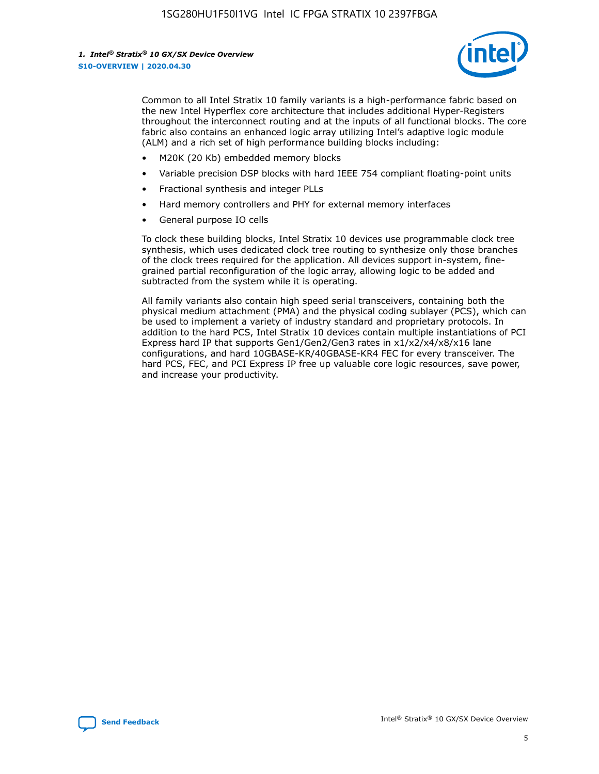

Common to all Intel Stratix 10 family variants is a high-performance fabric based on the new Intel Hyperflex core architecture that includes additional Hyper-Registers throughout the interconnect routing and at the inputs of all functional blocks. The core fabric also contains an enhanced logic array utilizing Intel's adaptive logic module (ALM) and a rich set of high performance building blocks including:

- M20K (20 Kb) embedded memory blocks
- Variable precision DSP blocks with hard IEEE 754 compliant floating-point units
- Fractional synthesis and integer PLLs
- Hard memory controllers and PHY for external memory interfaces
- General purpose IO cells

To clock these building blocks, Intel Stratix 10 devices use programmable clock tree synthesis, which uses dedicated clock tree routing to synthesize only those branches of the clock trees required for the application. All devices support in-system, finegrained partial reconfiguration of the logic array, allowing logic to be added and subtracted from the system while it is operating.

All family variants also contain high speed serial transceivers, containing both the physical medium attachment (PMA) and the physical coding sublayer (PCS), which can be used to implement a variety of industry standard and proprietary protocols. In addition to the hard PCS, Intel Stratix 10 devices contain multiple instantiations of PCI Express hard IP that supports Gen1/Gen2/Gen3 rates in x1/x2/x4/x8/x16 lane configurations, and hard 10GBASE-KR/40GBASE-KR4 FEC for every transceiver. The hard PCS, FEC, and PCI Express IP free up valuable core logic resources, save power, and increase your productivity.

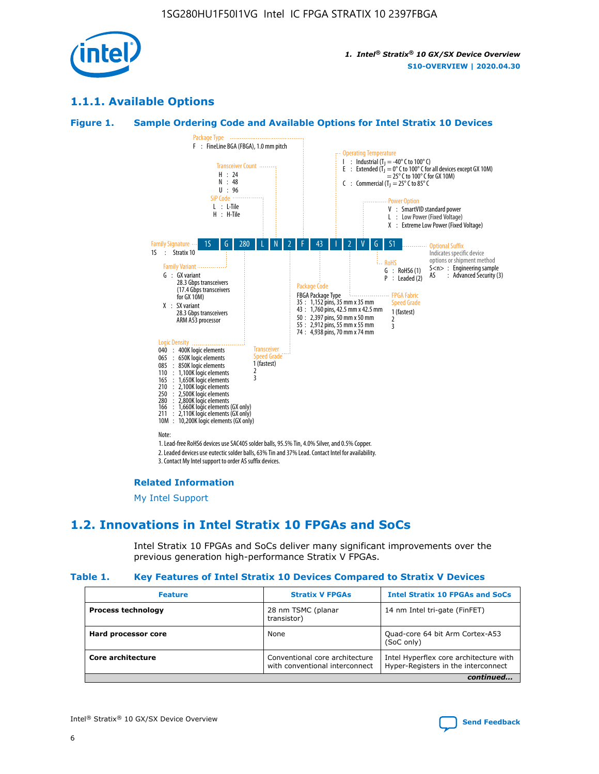

### **1.1.1. Available Options**

#### **Figure 1. Sample Ordering Code and Available Options for Intel Stratix 10 Devices**



### **Related Information**

[My Intel Support](https://www.intel.com/content/www/us/en/programmable/my-intel/mal-home.html)

### **1.2. Innovations in Intel Stratix 10 FPGAs and SoCs**

Intel Stratix 10 FPGAs and SoCs deliver many significant improvements over the previous generation high-performance Stratix V FPGAs.

#### **Table 1. Key Features of Intel Stratix 10 Devices Compared to Stratix V Devices**

| <b>Feature</b>            | <b>Stratix V FPGAs</b>                                           | <b>Intel Stratix 10 FPGAs and SoCs</b>                                        |
|---------------------------|------------------------------------------------------------------|-------------------------------------------------------------------------------|
| <b>Process technology</b> | 28 nm TSMC (planar<br>transistor)                                | 14 nm Intel tri-gate (FinFET)                                                 |
| Hard processor core       | None                                                             | Quad-core 64 bit Arm Cortex-A53<br>(SoC only)                                 |
| Core architecture         | Conventional core architecture<br>with conventional interconnect | Intel Hyperflex core architecture with<br>Hyper-Registers in the interconnect |
|                           |                                                                  | continued                                                                     |

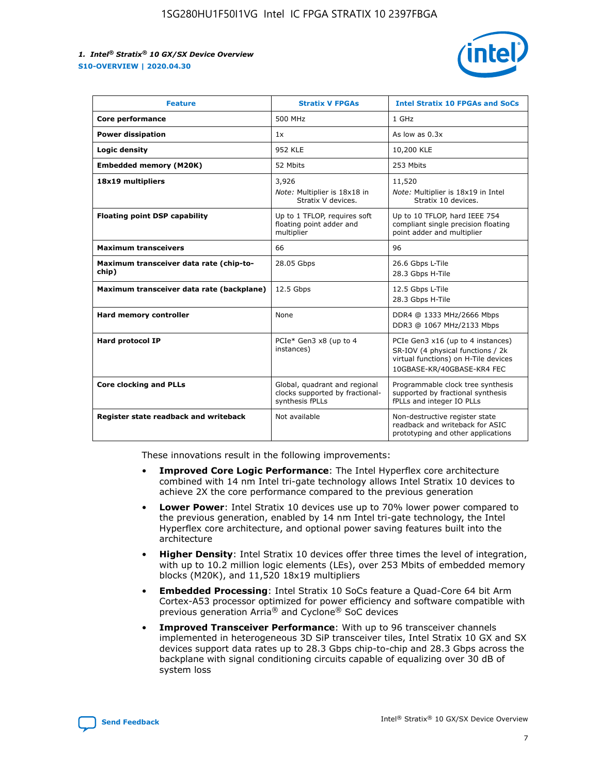

| <b>Feature</b>                                   | <b>Stratix V FPGAs</b>                                                              | <b>Intel Stratix 10 FPGAs and SoCs</b>                                                                                                       |
|--------------------------------------------------|-------------------------------------------------------------------------------------|----------------------------------------------------------------------------------------------------------------------------------------------|
| Core performance                                 | 500 MHz                                                                             | 1 GHz                                                                                                                                        |
| <b>Power dissipation</b>                         | 1x                                                                                  | As low as $0.3x$                                                                                                                             |
| Logic density                                    | <b>952 KLE</b>                                                                      | 10,200 KLE                                                                                                                                   |
| <b>Embedded memory (M20K)</b>                    | 52 Mbits                                                                            | 253 Mbits                                                                                                                                    |
| 18x19 multipliers                                | 3,926<br>Note: Multiplier is 18x18 in<br>Stratix V devices.                         | 11,520<br>Note: Multiplier is 18x19 in Intel<br>Stratix 10 devices.                                                                          |
| <b>Floating point DSP capability</b>             | Up to 1 TFLOP, requires soft<br>floating point adder and<br>multiplier              | Up to 10 TFLOP, hard IEEE 754<br>compliant single precision floating<br>point adder and multiplier                                           |
| <b>Maximum transceivers</b>                      | 66                                                                                  | 96                                                                                                                                           |
| Maximum transceiver data rate (chip-to-<br>chip) | 28.05 Gbps                                                                          | 26.6 Gbps L-Tile<br>28.3 Gbps H-Tile                                                                                                         |
| Maximum transceiver data rate (backplane)        | 12.5 Gbps                                                                           | 12.5 Gbps L-Tile<br>28.3 Gbps H-Tile                                                                                                         |
| <b>Hard memory controller</b>                    | None                                                                                | DDR4 @ 1333 MHz/2666 Mbps<br>DDR3 @ 1067 MHz/2133 Mbps                                                                                       |
| <b>Hard protocol IP</b>                          | PCIe* Gen3 x8 (up to 4<br>instances)                                                | PCIe Gen3 x16 (up to 4 instances)<br>SR-IOV (4 physical functions / 2k<br>virtual functions) on H-Tile devices<br>10GBASE-KR/40GBASE-KR4 FEC |
| <b>Core clocking and PLLs</b>                    | Global, quadrant and regional<br>clocks supported by fractional-<br>synthesis fPLLs | Programmable clock tree synthesis<br>supported by fractional synthesis<br>fPLLs and integer IO PLLs                                          |
| Register state readback and writeback            | Not available                                                                       | Non-destructive register state<br>readback and writeback for ASIC<br>prototyping and other applications                                      |

These innovations result in the following improvements:

- **Improved Core Logic Performance**: The Intel Hyperflex core architecture combined with 14 nm Intel tri-gate technology allows Intel Stratix 10 devices to achieve 2X the core performance compared to the previous generation
- **Lower Power**: Intel Stratix 10 devices use up to 70% lower power compared to the previous generation, enabled by 14 nm Intel tri-gate technology, the Intel Hyperflex core architecture, and optional power saving features built into the architecture
- **Higher Density**: Intel Stratix 10 devices offer three times the level of integration, with up to 10.2 million logic elements (LEs), over 253 Mbits of embedded memory blocks (M20K), and 11,520 18x19 multipliers
- **Embedded Processing**: Intel Stratix 10 SoCs feature a Quad-Core 64 bit Arm Cortex-A53 processor optimized for power efficiency and software compatible with previous generation Arria® and Cyclone® SoC devices
- **Improved Transceiver Performance**: With up to 96 transceiver channels implemented in heterogeneous 3D SiP transceiver tiles, Intel Stratix 10 GX and SX devices support data rates up to 28.3 Gbps chip-to-chip and 28.3 Gbps across the backplane with signal conditioning circuits capable of equalizing over 30 dB of system loss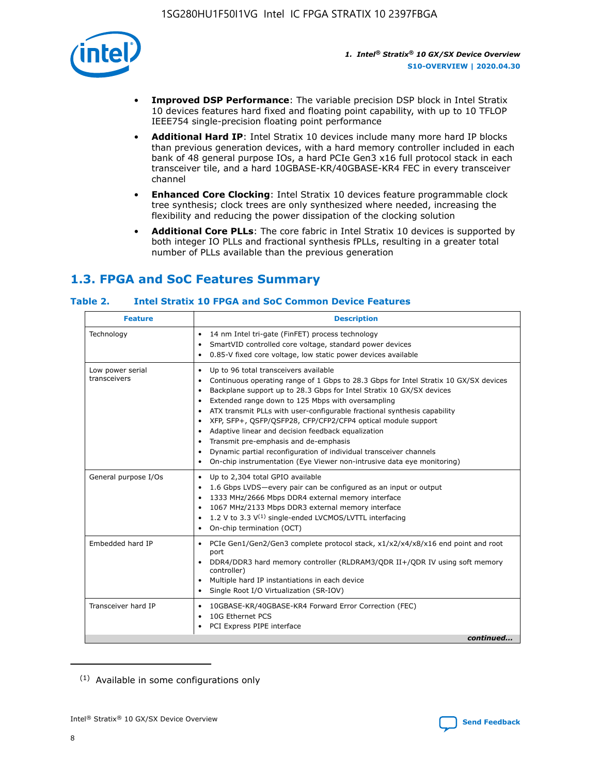

- **Improved DSP Performance**: The variable precision DSP block in Intel Stratix 10 devices features hard fixed and floating point capability, with up to 10 TFLOP IEEE754 single-precision floating point performance
- **Additional Hard IP**: Intel Stratix 10 devices include many more hard IP blocks than previous generation devices, with a hard memory controller included in each bank of 48 general purpose IOs, a hard PCIe Gen3 x16 full protocol stack in each transceiver tile, and a hard 10GBASE-KR/40GBASE-KR4 FEC in every transceiver channel
- **Enhanced Core Clocking**: Intel Stratix 10 devices feature programmable clock tree synthesis; clock trees are only synthesized where needed, increasing the flexibility and reducing the power dissipation of the clocking solution
- **Additional Core PLLs**: The core fabric in Intel Stratix 10 devices is supported by both integer IO PLLs and fractional synthesis fPLLs, resulting in a greater total number of PLLs available than the previous generation

## **1.3. FPGA and SoC Features Summary**

### **Table 2. Intel Stratix 10 FPGA and SoC Common Device Features**

| <b>Feature</b>                   | <b>Description</b>                                                                                                                                                                                                                                                                                                                                                                                                                                                                                                                                                                                                                                                                                                              |
|----------------------------------|---------------------------------------------------------------------------------------------------------------------------------------------------------------------------------------------------------------------------------------------------------------------------------------------------------------------------------------------------------------------------------------------------------------------------------------------------------------------------------------------------------------------------------------------------------------------------------------------------------------------------------------------------------------------------------------------------------------------------------|
| Technology                       | 14 nm Intel tri-gate (FinFET) process technology<br>٠<br>SmartVID controlled core voltage, standard power devices<br>0.85-V fixed core voltage, low static power devices available                                                                                                                                                                                                                                                                                                                                                                                                                                                                                                                                              |
| Low power serial<br>transceivers | Up to 96 total transceivers available<br>$\bullet$<br>Continuous operating range of 1 Gbps to 28.3 Gbps for Intel Stratix 10 GX/SX devices<br>٠<br>Backplane support up to 28.3 Gbps for Intel Stratix 10 GX/SX devices<br>$\bullet$<br>Extended range down to 125 Mbps with oversampling<br>$\bullet$<br>ATX transmit PLLs with user-configurable fractional synthesis capability<br>$\bullet$<br>• XFP, SFP+, QSFP/QSFP28, CFP/CFP2/CFP4 optical module support<br>• Adaptive linear and decision feedback equalization<br>Transmit pre-emphasis and de-emphasis<br>Dynamic partial reconfiguration of individual transceiver channels<br>$\bullet$<br>On-chip instrumentation (Eye Viewer non-intrusive data eye monitoring) |
| General purpose I/Os             | Up to 2,304 total GPIO available<br>$\bullet$<br>1.6 Gbps LVDS-every pair can be configured as an input or output<br>1333 MHz/2666 Mbps DDR4 external memory interface<br>1067 MHz/2133 Mbps DDR3 external memory interface<br>• 1.2 V to 3.3 $V^{(1)}$ single-ended LVCMOS/LVTTL interfacing<br>On-chip termination (OCT)<br>$\bullet$                                                                                                                                                                                                                                                                                                                                                                                         |
| Embedded hard IP                 | PCIe Gen1/Gen2/Gen3 complete protocol stack, $x1/x2/x4/x8/x16$ end point and root<br>$\bullet$<br>port<br>DDR4/DDR3 hard memory controller (RLDRAM3/QDR II+/QDR IV using soft memory<br>controller)<br>• Multiple hard IP instantiations in each device<br>• Single Root I/O Virtualization (SR-IOV)                                                                                                                                                                                                                                                                                                                                                                                                                            |
| Transceiver hard IP              | 10GBASE-KR/40GBASE-KR4 Forward Error Correction (FEC)<br>$\bullet$<br>10G Ethernet PCS<br>$\bullet$<br>PCI Express PIPE interface<br>$\bullet$<br>continued                                                                                                                                                                                                                                                                                                                                                                                                                                                                                                                                                                     |

<sup>(1)</sup> Available in some configurations only

8

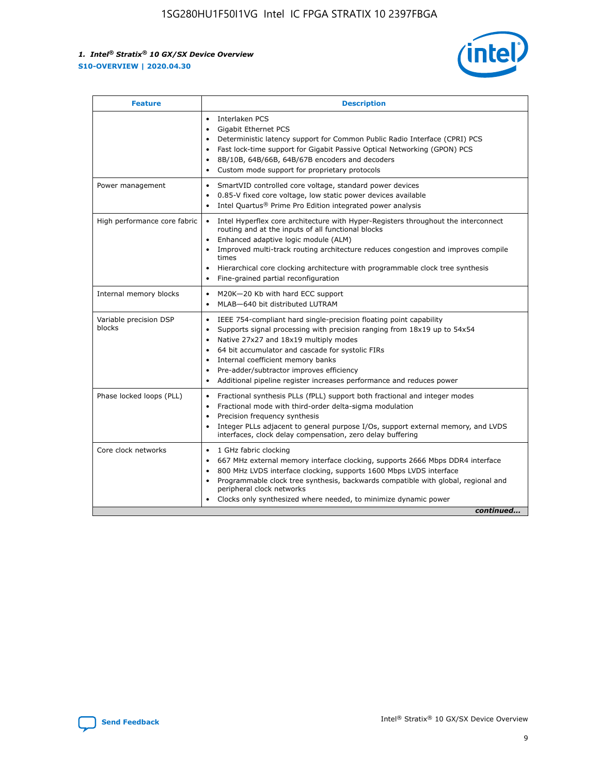

| <b>Feature</b>                   | <b>Description</b>                                                                                                                                                                                                                                                                                                                                                                                                                            |  |  |  |
|----------------------------------|-----------------------------------------------------------------------------------------------------------------------------------------------------------------------------------------------------------------------------------------------------------------------------------------------------------------------------------------------------------------------------------------------------------------------------------------------|--|--|--|
|                                  | Interlaken PCS<br>$\bullet$<br><b>Gigabit Ethernet PCS</b><br>$\bullet$<br>Deterministic latency support for Common Public Radio Interface (CPRI) PCS<br>$\bullet$<br>Fast lock-time support for Gigabit Passive Optical Networking (GPON) PCS<br>$\bullet$<br>8B/10B, 64B/66B, 64B/67B encoders and decoders<br>Custom mode support for proprietary protocols                                                                                |  |  |  |
| Power management                 | SmartVID controlled core voltage, standard power devices<br>$\bullet$<br>0.85-V fixed core voltage, low static power devices available<br>$\bullet$<br>Intel Quartus <sup>®</sup> Prime Pro Edition integrated power analysis                                                                                                                                                                                                                 |  |  |  |
| High performance core fabric     | Intel Hyperflex core architecture with Hyper-Registers throughout the interconnect<br>routing and at the inputs of all functional blocks<br>Enhanced adaptive logic module (ALM)<br>Improved multi-track routing architecture reduces congestion and improves compile<br>times<br>Hierarchical core clocking architecture with programmable clock tree synthesis<br>Fine-grained partial reconfiguration                                      |  |  |  |
| Internal memory blocks           | M20K-20 Kb with hard ECC support<br>MLAB-640 bit distributed LUTRAM                                                                                                                                                                                                                                                                                                                                                                           |  |  |  |
| Variable precision DSP<br>blocks | IEEE 754-compliant hard single-precision floating point capability<br>$\bullet$<br>Supports signal processing with precision ranging from 18x19 up to 54x54<br>$\bullet$<br>Native 27x27 and 18x19 multiply modes<br>٠<br>64 bit accumulator and cascade for systolic FIRs<br>Internal coefficient memory banks<br>Pre-adder/subtractor improves efficiency<br>٠<br>Additional pipeline register increases performance and reduces power<br>٠ |  |  |  |
| Phase locked loops (PLL)         | Fractional synthesis PLLs (fPLL) support both fractional and integer modes<br>$\bullet$<br>Fractional mode with third-order delta-sigma modulation<br>Precision frequency synthesis<br>٠<br>Integer PLLs adjacent to general purpose I/Os, support external memory, and LVDS<br>٠<br>interfaces, clock delay compensation, zero delay buffering                                                                                               |  |  |  |
| Core clock networks              | 1 GHz fabric clocking<br>٠<br>667 MHz external memory interface clocking, supports 2666 Mbps DDR4 interface<br>800 MHz LVDS interface clocking, supports 1600 Mbps LVDS interface<br>$\bullet$<br>Programmable clock tree synthesis, backwards compatible with global, regional and<br>$\bullet$<br>peripheral clock networks<br>Clocks only synthesized where needed, to minimize dynamic power<br>continued                                 |  |  |  |

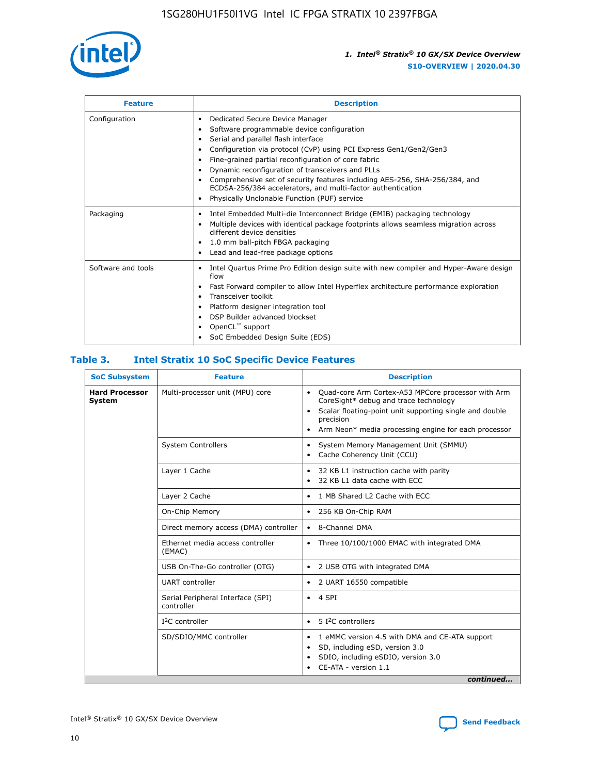

| <b>Feature</b>     | <b>Description</b>                                                                                                                                                                                                                                                                                                                                                                                                                                                                                               |
|--------------------|------------------------------------------------------------------------------------------------------------------------------------------------------------------------------------------------------------------------------------------------------------------------------------------------------------------------------------------------------------------------------------------------------------------------------------------------------------------------------------------------------------------|
| Configuration      | Dedicated Secure Device Manager<br>٠<br>Software programmable device configuration<br>Serial and parallel flash interface<br>Configuration via protocol (CvP) using PCI Express Gen1/Gen2/Gen3<br>Fine-grained partial reconfiguration of core fabric<br>٠<br>Dynamic reconfiguration of transceivers and PLLs<br>٠<br>Comprehensive set of security features including AES-256, SHA-256/384, and<br>ECDSA-256/384 accelerators, and multi-factor authentication<br>Physically Unclonable Function (PUF) service |
| Packaging          | Intel Embedded Multi-die Interconnect Bridge (EMIB) packaging technology<br>٠<br>Multiple devices with identical package footprints allows seamless migration across<br>$\bullet$<br>different device densities<br>1.0 mm ball-pitch FBGA packaging<br>٠<br>Lead and lead-free package options                                                                                                                                                                                                                   |
| Software and tools | Intel Quartus Prime Pro Edition design suite with new compiler and Hyper-Aware design<br>$\bullet$<br>flow<br>Fast Forward compiler to allow Intel Hyperflex architecture performance exploration<br>٠<br>Transceiver toolkit<br>Platform designer integration tool<br>DSP Builder advanced blockset<br>OpenCL <sup>™</sup> support<br>SoC Embedded Design Suite (EDS)                                                                                                                                           |

### **Table 3. Intel Stratix 10 SoC Specific Device Features**

| <b>SoC Subsystem</b>            | <b>Feature</b>                                  | <b>Description</b>                                                                                                                                                                                                                                                 |
|---------------------------------|-------------------------------------------------|--------------------------------------------------------------------------------------------------------------------------------------------------------------------------------------------------------------------------------------------------------------------|
| <b>Hard Processor</b><br>System | Multi-processor unit (MPU) core                 | Quad-core Arm Cortex-A53 MPCore processor with Arm<br>$\bullet$<br>CoreSight* debug and trace technology<br>Scalar floating-point unit supporting single and double<br>$\bullet$<br>precision<br>Arm Neon* media processing engine for each processor<br>$\bullet$ |
|                                 | <b>System Controllers</b>                       | System Memory Management Unit (SMMU)<br>$\bullet$<br>Cache Coherency Unit (CCU)<br>$\bullet$                                                                                                                                                                       |
|                                 | Layer 1 Cache                                   | 32 KB L1 instruction cache with parity<br>$\bullet$<br>32 KB L1 data cache with ECC<br>$\bullet$                                                                                                                                                                   |
|                                 | Layer 2 Cache                                   | 1 MB Shared L2 Cache with ECC<br>$\bullet$                                                                                                                                                                                                                         |
|                                 | On-Chip Memory                                  | 256 KB On-Chip RAM<br>٠                                                                                                                                                                                                                                            |
|                                 | Direct memory access (DMA) controller           | 8-Channel DMA<br>$\bullet$                                                                                                                                                                                                                                         |
|                                 | Ethernet media access controller<br>(EMAC)      | Three 10/100/1000 EMAC with integrated DMA<br>$\bullet$                                                                                                                                                                                                            |
|                                 | USB On-The-Go controller (OTG)                  | 2 USB OTG with integrated DMA<br>$\bullet$                                                                                                                                                                                                                         |
|                                 | <b>UART</b> controller                          | 2 UART 16550 compatible<br>$\bullet$                                                                                                                                                                                                                               |
|                                 | Serial Peripheral Interface (SPI)<br>controller | 4 SPI<br>$\bullet$                                                                                                                                                                                                                                                 |
|                                 | $I2C$ controller                                | 5 I <sup>2</sup> C controllers<br>$\bullet$                                                                                                                                                                                                                        |
|                                 | SD/SDIO/MMC controller                          | 1 eMMC version 4.5 with DMA and CE-ATA support<br>$\bullet$<br>SD, including eSD, version 3.0<br>$\bullet$<br>SDIO, including eSDIO, version 3.0<br>$\bullet$<br>CE-ATA - version 1.1                                                                              |
|                                 |                                                 | continued                                                                                                                                                                                                                                                          |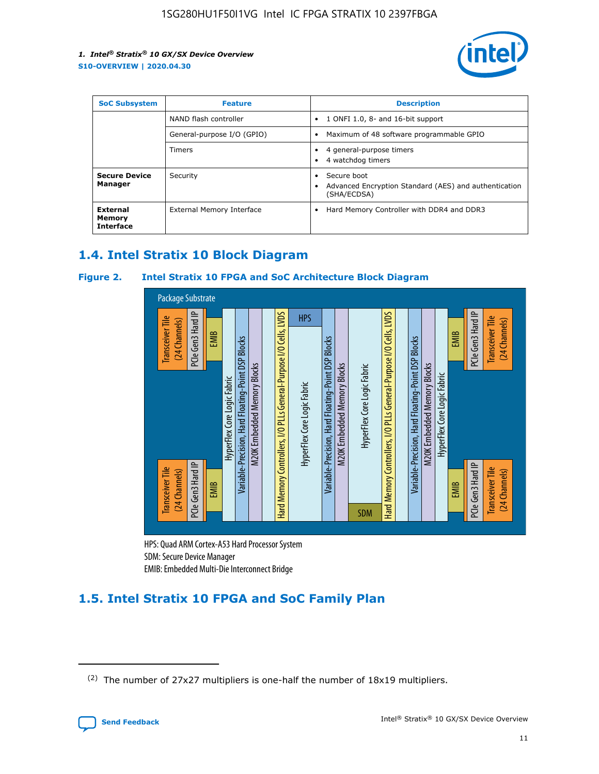

| <b>SoC Subsystem</b>                   | <b>Feature</b>             | <b>Description</b>                                                                                    |  |  |
|----------------------------------------|----------------------------|-------------------------------------------------------------------------------------------------------|--|--|
|                                        | NAND flash controller      | 1 ONFI 1.0, 8- and 16-bit support<br>$\bullet$                                                        |  |  |
|                                        | General-purpose I/O (GPIO) | Maximum of 48 software programmable GPIO<br>$\bullet$                                                 |  |  |
|                                        | Timers                     | 4 general-purpose timers<br>4 watchdog timers<br>٠                                                    |  |  |
| <b>Secure Device</b><br>Manager        | Security                   | Secure boot<br>$\bullet$<br>Advanced Encryption Standard (AES) and authentication<br>٠<br>(SHA/ECDSA) |  |  |
| External<br>Memory<br><b>Interface</b> | External Memory Interface  | Hard Memory Controller with DDR4 and DDR3<br>$\bullet$                                                |  |  |

### **1.4. Intel Stratix 10 Block Diagram**

### **Figure 2. Intel Stratix 10 FPGA and SoC Architecture Block Diagram**



HPS: Quad ARM Cortex-A53 Hard Processor System SDM: Secure Device Manager

## **1.5. Intel Stratix 10 FPGA and SoC Family Plan**

<sup>(2)</sup> The number of 27x27 multipliers is one-half the number of 18x19 multipliers.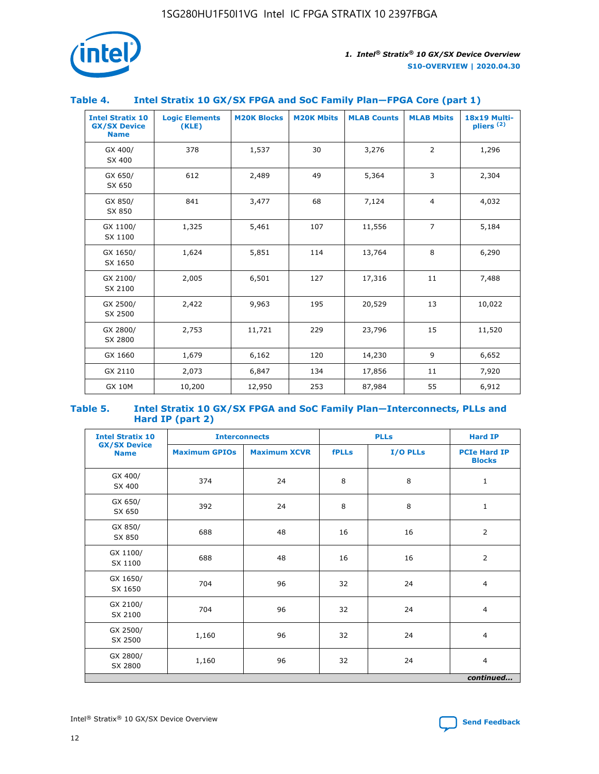

### **Table 4. Intel Stratix 10 GX/SX FPGA and SoC Family Plan—FPGA Core (part 1)**

| <b>Intel Stratix 10</b><br><b>GX/SX Device</b><br><b>Name</b> | <b>Logic Elements</b><br>(KLE) | <b>M20K Blocks</b> | <b>M20K Mbits</b> | <b>MLAB Counts</b> | <b>MLAB Mbits</b> | 18x19 Multi-<br>pliers <sup>(2)</sup> |
|---------------------------------------------------------------|--------------------------------|--------------------|-------------------|--------------------|-------------------|---------------------------------------|
| GX 400/<br>SX 400                                             | 378                            | 1,537              | 30                | 3,276              | $\overline{2}$    | 1,296                                 |
| GX 650/<br>SX 650                                             | 612                            | 2,489              | 49                | 5,364              | 3                 | 2,304                                 |
| GX 850/<br>SX 850                                             | 841                            | 3,477              | 68                | 7,124              | $\overline{4}$    | 4,032                                 |
| GX 1100/<br>SX 1100                                           | 1,325                          | 5,461              | 107               | 11,556             | $\overline{7}$    | 5,184                                 |
| GX 1650/<br>SX 1650                                           | 1,624                          | 5,851              | 114               | 13,764             | 8                 | 6,290                                 |
| GX 2100/<br>SX 2100                                           | 2,005                          | 6,501              | 127               | 17,316             | 11                | 7,488                                 |
| GX 2500/<br>SX 2500                                           | 2,422                          | 9,963              | 195               | 20,529             | 13                | 10,022                                |
| GX 2800/<br>SX 2800                                           | 2,753                          | 11,721             | 229               | 23,796             | 15                | 11,520                                |
| GX 1660                                                       | 1,679                          | 6,162              | 120               | 14,230             | 9                 | 6,652                                 |
| GX 2110                                                       | 2,073                          | 6,847              | 134               | 17,856             | 11                | 7,920                                 |
| <b>GX 10M</b>                                                 | 10,200                         | 12,950             | 253               | 87,984             | 55                | 6,912                                 |

#### **Table 5. Intel Stratix 10 GX/SX FPGA and SoC Family Plan—Interconnects, PLLs and Hard IP (part 2)**

| <b>Intel Stratix 10</b>            | <b>Interconnects</b> |                     | <b>PLLs</b>  |          | <b>Hard IP</b>                       |  |
|------------------------------------|----------------------|---------------------|--------------|----------|--------------------------------------|--|
| <b>GX/SX Device</b><br><b>Name</b> | <b>Maximum GPIOs</b> | <b>Maximum XCVR</b> | <b>fPLLs</b> | I/O PLLs | <b>PCIe Hard IP</b><br><b>Blocks</b> |  |
| GX 400/<br>SX 400                  | 374                  | 24                  | 8            | 8        | $\mathbf{1}$                         |  |
| GX 650/<br>SX 650                  | 392                  | 24                  | 8            | 8        | $\mathbf{1}$                         |  |
| GX 850/<br>SX 850                  | 688                  | 48                  | 16           | 16       | 2                                    |  |
| GX 1100/<br>SX 1100                | 688                  | 48                  | 16           | 16       | 2                                    |  |
| GX 1650/<br>SX 1650                | 704                  | 96                  | 32           | 24       | $\overline{4}$                       |  |
| GX 2100/<br>SX 2100                | 704                  | 96                  | 32           | 24       | $\overline{4}$                       |  |
| GX 2500/<br>SX 2500                | 1,160                | 96                  | 32           | 24       | $\overline{4}$                       |  |
| GX 2800/<br>SX 2800                | 1,160                | 96                  | 32           | 24       | $\overline{4}$                       |  |
| continued                          |                      |                     |              |          |                                      |  |

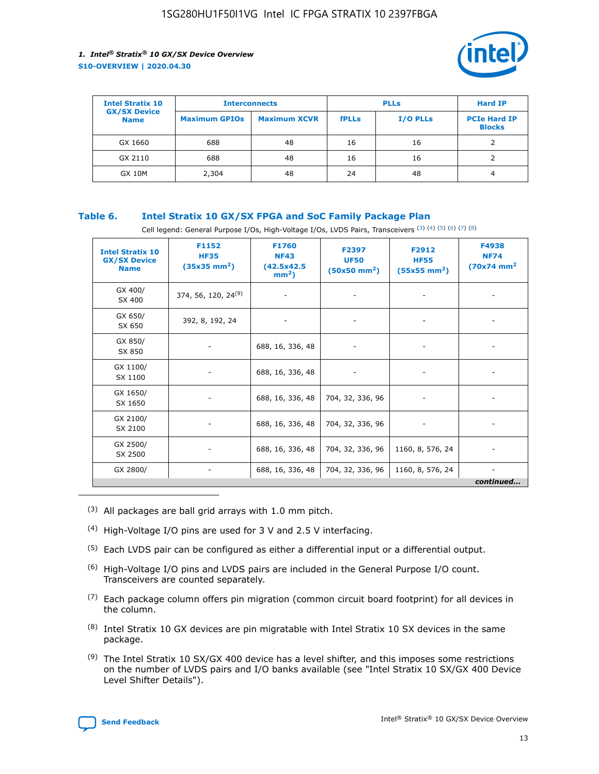

| <b>Intel Stratix 10</b>            | <b>Interconnects</b> |                     |              | <b>Hard IP</b>  |                                      |
|------------------------------------|----------------------|---------------------|--------------|-----------------|--------------------------------------|
| <b>GX/SX Device</b><br><b>Name</b> | <b>Maximum GPIOs</b> | <b>Maximum XCVR</b> | <b>fPLLs</b> | <b>I/O PLLs</b> | <b>PCIe Hard IP</b><br><b>Blocks</b> |
| GX 1660                            | 688                  | 48                  | 16           | 16              |                                      |
| GX 2110                            | 688                  | 48                  | 16           | 16              |                                      |
| <b>GX 10M</b>                      | 2,304                | 48                  | 24           | 48              | 4                                    |

### **Table 6. Intel Stratix 10 GX/SX FPGA and SoC Family Package Plan**

Cell legend: General Purpose I/Os, High-Voltage I/Os, LVDS Pairs, Transceivers (3) (4) (5) (6) (7) (8)

| <b>Intel Stratix 10</b><br><b>GX/SX Device</b><br><b>Name</b> | F1152<br><b>HF35</b><br>$(35x35)$ mm <sup>2</sup> ) | <b>F1760</b><br><b>NF43</b><br>(42.5x42.5<br>$mm2$ ) | F2397<br><b>UF50</b><br>$(50x50 \text{ mm}^2)$ | F2912<br><b>HF55</b><br>$(55x55 \text{ mm}^2)$ | F4938<br><b>NF74</b><br>$(70x74)$ mm <sup>2</sup> |
|---------------------------------------------------------------|-----------------------------------------------------|------------------------------------------------------|------------------------------------------------|------------------------------------------------|---------------------------------------------------|
| GX 400/<br>SX 400                                             | 374, 56, 120, 24 <sup>(9)</sup>                     | $\overline{\phantom{a}}$                             | $\overline{\phantom{a}}$                       |                                                |                                                   |
| GX 650/<br>SX 650                                             | 392, 8, 192, 24                                     | ٠                                                    | $\qquad \qquad \blacksquare$                   |                                                |                                                   |
| GX 850/<br>SX 850                                             | $\overline{\phantom{a}}$                            | 688, 16, 336, 48                                     | $\overline{\phantom{a}}$                       |                                                |                                                   |
| GX 1100/<br>SX 1100                                           | ۰                                                   | 688, 16, 336, 48                                     |                                                |                                                |                                                   |
| GX 1650/<br>SX 1650                                           |                                                     | 688, 16, 336, 48                                     | 704, 32, 336, 96                               | $\overline{\phantom{a}}$                       | $\overline{\phantom{0}}$                          |
| GX 2100/<br>SX 2100                                           |                                                     | 688, 16, 336, 48                                     | 704, 32, 336, 96                               | $\overline{\phantom{a}}$                       | ٠                                                 |
| GX 2500/<br>SX 2500                                           |                                                     | 688, 16, 336, 48                                     | 704, 32, 336, 96                               | 1160, 8, 576, 24                               |                                                   |
| GX 2800/                                                      | -                                                   | 688, 16, 336, 48                                     | 704, 32, 336, 96                               | 1160, 8, 576, 24                               | continued                                         |

- (3) All packages are ball grid arrays with 1.0 mm pitch.
- (4) High-Voltage I/O pins are used for 3 V and 2.5 V interfacing.
- $(5)$  Each LVDS pair can be configured as either a differential input or a differential output.
- (6) High-Voltage I/O pins and LVDS pairs are included in the General Purpose I/O count. Transceivers are counted separately.
- $(7)$  Each package column offers pin migration (common circuit board footprint) for all devices in the column.
- $(8)$  Intel Stratix 10 GX devices are pin migratable with Intel Stratix 10 SX devices in the same package.
- $(9)$  The Intel Stratix 10 SX/GX 400 device has a level shifter, and this imposes some restrictions on the number of LVDS pairs and I/O banks available (see "Intel Stratix 10 SX/GX 400 Device Level Shifter Details").

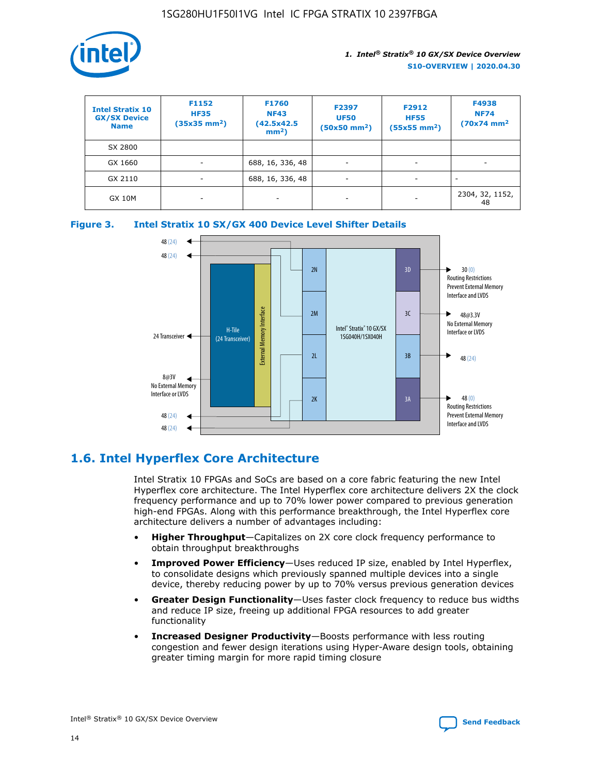

| <b>Intel Stratix 10</b><br><b>GX/SX Device</b><br><b>Name</b> | F1152<br><b>HF35</b><br>$(35x35 \text{ mm}^2)$ | F1760<br><b>NF43</b><br>(42.5x42.5<br>$mm2$ ) | F2397<br><b>UF50</b><br>$(50x50 \text{ mm}^2)$ | F2912<br><b>HF55</b><br>$(55x55$ mm <sup>2</sup> ) | F4938<br><b>NF74</b><br>$(70x74)$ mm <sup>2</sup> |
|---------------------------------------------------------------|------------------------------------------------|-----------------------------------------------|------------------------------------------------|----------------------------------------------------|---------------------------------------------------|
| SX 2800                                                       |                                                |                                               |                                                |                                                    |                                                   |
| GX 1660                                                       | ٠                                              | 688, 16, 336, 48                              | ٠                                              |                                                    |                                                   |
| GX 2110                                                       |                                                | 688, 16, 336, 48                              | $\overline{\phantom{a}}$                       |                                                    |                                                   |
| <b>GX 10M</b>                                                 | ۰                                              | -                                             | -                                              |                                                    | 2304, 32, 1152,<br>48                             |





### **1.6. Intel Hyperflex Core Architecture**

Intel Stratix 10 FPGAs and SoCs are based on a core fabric featuring the new Intel Hyperflex core architecture. The Intel Hyperflex core architecture delivers 2X the clock frequency performance and up to 70% lower power compared to previous generation high-end FPGAs. Along with this performance breakthrough, the Intel Hyperflex core architecture delivers a number of advantages including:

- **Higher Throughput**—Capitalizes on 2X core clock frequency performance to obtain throughput breakthroughs
- **Improved Power Efficiency**—Uses reduced IP size, enabled by Intel Hyperflex, to consolidate designs which previously spanned multiple devices into a single device, thereby reducing power by up to 70% versus previous generation devices
- **Greater Design Functionality**—Uses faster clock frequency to reduce bus widths and reduce IP size, freeing up additional FPGA resources to add greater functionality
- **Increased Designer Productivity**—Boosts performance with less routing congestion and fewer design iterations using Hyper-Aware design tools, obtaining greater timing margin for more rapid timing closure

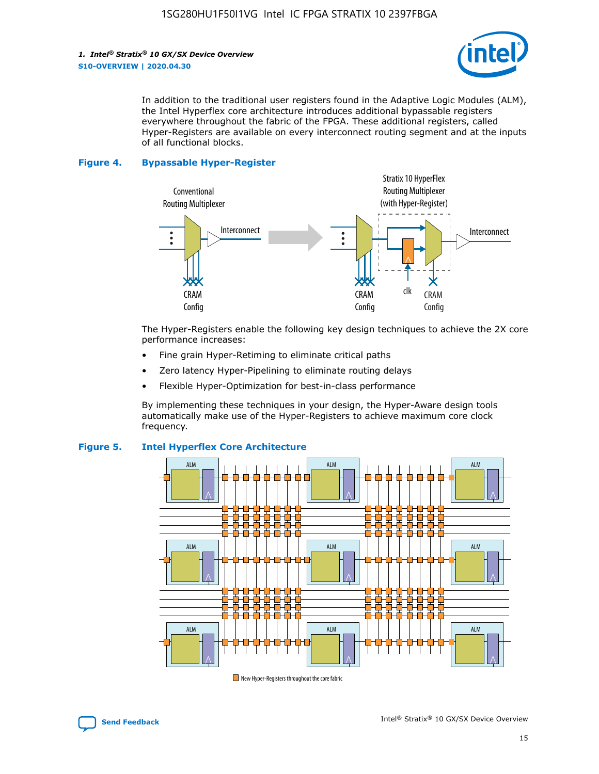

In addition to the traditional user registers found in the Adaptive Logic Modules (ALM), the Intel Hyperflex core architecture introduces additional bypassable registers everywhere throughout the fabric of the FPGA. These additional registers, called Hyper-Registers are available on every interconnect routing segment and at the inputs of all functional blocks.

#### **Figure 4. Bypassable Hyper-Register**



The Hyper-Registers enable the following key design techniques to achieve the 2X core performance increases:

- Fine grain Hyper-Retiming to eliminate critical paths
- Zero latency Hyper-Pipelining to eliminate routing delays
- Flexible Hyper-Optimization for best-in-class performance

By implementing these techniques in your design, the Hyper-Aware design tools automatically make use of the Hyper-Registers to achieve maximum core clock frequency.



### **Figure 5. Intel Hyperflex Core Architecture**

New Hyper-Registers throughout the core fabric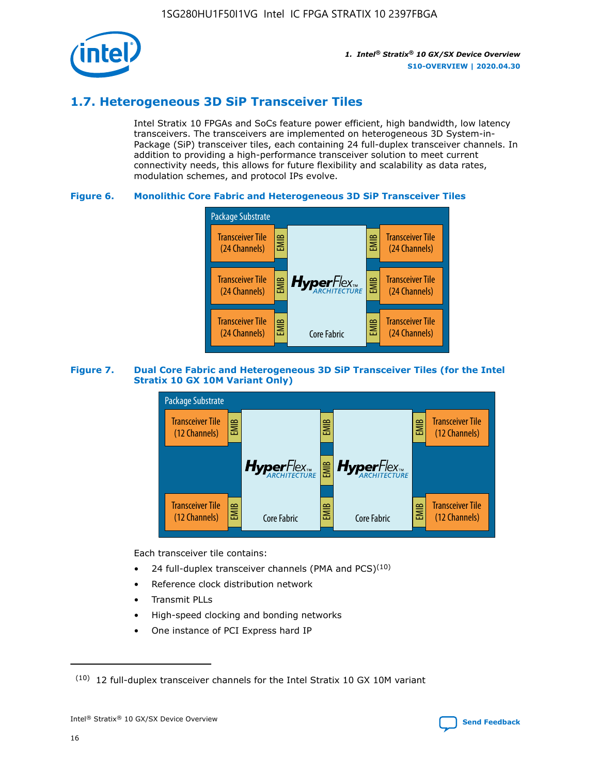

### **1.7. Heterogeneous 3D SiP Transceiver Tiles**

Intel Stratix 10 FPGAs and SoCs feature power efficient, high bandwidth, low latency transceivers. The transceivers are implemented on heterogeneous 3D System-in-Package (SiP) transceiver tiles, each containing 24 full-duplex transceiver channels. In addition to providing a high-performance transceiver solution to meet current connectivity needs, this allows for future flexibility and scalability as data rates, modulation schemes, and protocol IPs evolve.

### **Figure 6. Monolithic Core Fabric and Heterogeneous 3D SiP Transceiver Tiles**



### **Figure 7. Dual Core Fabric and Heterogeneous 3D SiP Transceiver Tiles (for the Intel Stratix 10 GX 10M Variant Only)**



Each transceiver tile contains:

- 24 full-duplex transceiver channels (PMA and PCS) $(10)$
- Reference clock distribution network
- Transmit PLLs
- High-speed clocking and bonding networks
- One instance of PCI Express hard IP

 $(10)$  12 full-duplex transceiver channels for the Intel Stratix 10 GX 10M variant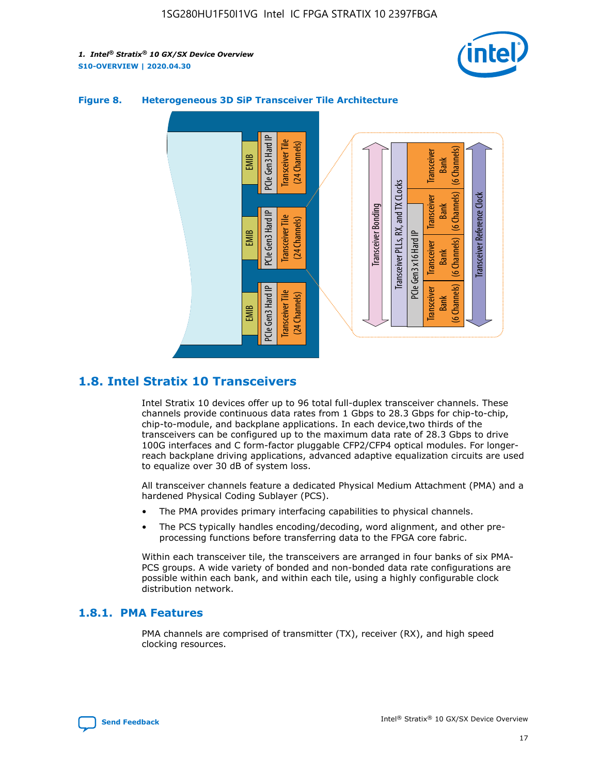



### **Figure 8. Heterogeneous 3D SiP Transceiver Tile Architecture**

### **1.8. Intel Stratix 10 Transceivers**

Intel Stratix 10 devices offer up to 96 total full-duplex transceiver channels. These channels provide continuous data rates from 1 Gbps to 28.3 Gbps for chip-to-chip, chip-to-module, and backplane applications. In each device,two thirds of the transceivers can be configured up to the maximum data rate of 28.3 Gbps to drive 100G interfaces and C form-factor pluggable CFP2/CFP4 optical modules. For longerreach backplane driving applications, advanced adaptive equalization circuits are used to equalize over 30 dB of system loss.

All transceiver channels feature a dedicated Physical Medium Attachment (PMA) and a hardened Physical Coding Sublayer (PCS).

- The PMA provides primary interfacing capabilities to physical channels.
- The PCS typically handles encoding/decoding, word alignment, and other preprocessing functions before transferring data to the FPGA core fabric.

Within each transceiver tile, the transceivers are arranged in four banks of six PMA-PCS groups. A wide variety of bonded and non-bonded data rate configurations are possible within each bank, and within each tile, using a highly configurable clock distribution network.

### **1.8.1. PMA Features**

PMA channels are comprised of transmitter (TX), receiver (RX), and high speed clocking resources.

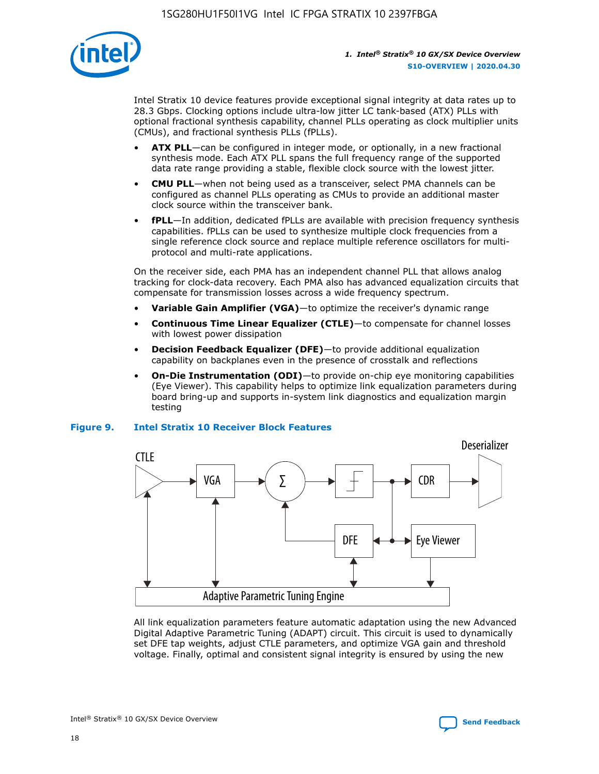

Intel Stratix 10 device features provide exceptional signal integrity at data rates up to 28.3 Gbps. Clocking options include ultra-low jitter LC tank-based (ATX) PLLs with optional fractional synthesis capability, channel PLLs operating as clock multiplier units (CMUs), and fractional synthesis PLLs (fPLLs).

- **ATX PLL**—can be configured in integer mode, or optionally, in a new fractional synthesis mode. Each ATX PLL spans the full frequency range of the supported data rate range providing a stable, flexible clock source with the lowest jitter.
- **CMU PLL**—when not being used as a transceiver, select PMA channels can be configured as channel PLLs operating as CMUs to provide an additional master clock source within the transceiver bank.
- **fPLL**—In addition, dedicated fPLLs are available with precision frequency synthesis capabilities. fPLLs can be used to synthesize multiple clock frequencies from a single reference clock source and replace multiple reference oscillators for multiprotocol and multi-rate applications.

On the receiver side, each PMA has an independent channel PLL that allows analog tracking for clock-data recovery. Each PMA also has advanced equalization circuits that compensate for transmission losses across a wide frequency spectrum.

- **Variable Gain Amplifier (VGA)**—to optimize the receiver's dynamic range
- **Continuous Time Linear Equalizer (CTLE)**—to compensate for channel losses with lowest power dissipation
- **Decision Feedback Equalizer (DFE)**—to provide additional equalization capability on backplanes even in the presence of crosstalk and reflections
- **On-Die Instrumentation (ODI)**—to provide on-chip eye monitoring capabilities (Eye Viewer). This capability helps to optimize link equalization parameters during board bring-up and supports in-system link diagnostics and equalization margin testing

#### **Figure 9. Intel Stratix 10 Receiver Block Features**



All link equalization parameters feature automatic adaptation using the new Advanced Digital Adaptive Parametric Tuning (ADAPT) circuit. This circuit is used to dynamically set DFE tap weights, adjust CTLE parameters, and optimize VGA gain and threshold voltage. Finally, optimal and consistent signal integrity is ensured by using the new



Intel<sup>®</sup> Stratix<sup>®</sup> 10 GX/SX Device Overview **[Send Feedback](mailto:FPGAtechdocfeedback@intel.com?subject=Feedback%20on%20Intel%20Stratix%2010%20GX/SX%20Device%20Overview%20(S10-OVERVIEW%202020.04.30)&body=We%20appreciate%20your%20feedback.%20In%20your%20comments,%20also%20specify%20the%20page%20number%20or%20paragraph.%20Thank%20you.)** Send Feedback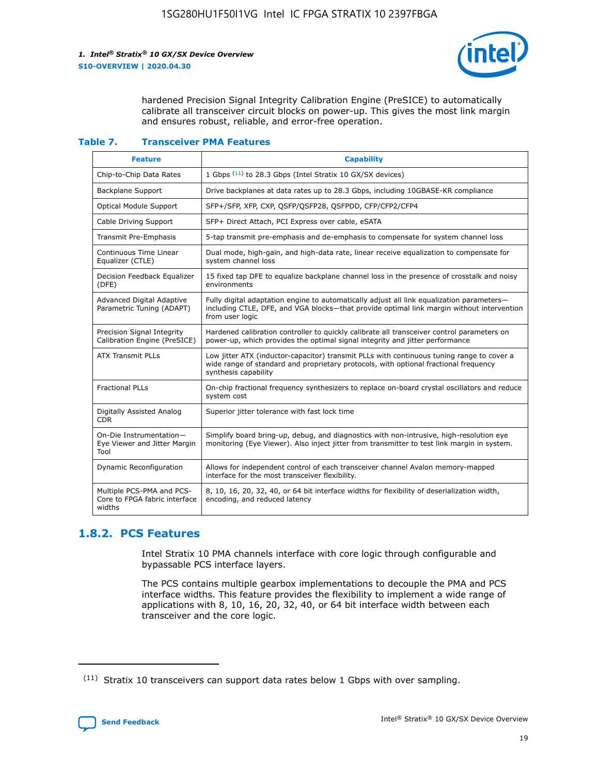

hardened Precision Signal Integrity Calibration Engine (PreSICE) to automatically calibrate all transceiver circuit blocks on power-up. This gives the most link margin and ensures robust, reliable, and error-free operation.

#### **Table 7. Transceiver PMA Features**

| <b>Feature</b>                                                       | <b>Capability</b>                                                                                                                                                                                         |
|----------------------------------------------------------------------|-----------------------------------------------------------------------------------------------------------------------------------------------------------------------------------------------------------|
| Chip-to-Chip Data Rates                                              | 1 Gbps (11) to 28.3 Gbps (Intel Stratix 10 GX/SX devices)                                                                                                                                                 |
| <b>Backplane Support</b>                                             | Drive backplanes at data rates up to 28.3 Gbps, including 10GBASE-KR compliance                                                                                                                           |
| Optical Module Support                                               | SFP+/SFP, XFP, CXP, QSFP/QSFP28, QSFPDD, CFP/CFP2/CFP4                                                                                                                                                    |
| Cable Driving Support                                                | SFP+ Direct Attach, PCI Express over cable, eSATA                                                                                                                                                         |
| <b>Transmit Pre-Emphasis</b>                                         | 5-tap transmit pre-emphasis and de-emphasis to compensate for system channel loss                                                                                                                         |
| Continuous Time Linear<br>Equalizer (CTLE)                           | Dual mode, high-gain, and high-data rate, linear receive equalization to compensate for<br>system channel loss                                                                                            |
| Decision Feedback Equalizer<br>(DFE)                                 | 15 fixed tap DFE to equalize backplane channel loss in the presence of crosstalk and noisy<br>environments                                                                                                |
| Advanced Digital Adaptive<br>Parametric Tuning (ADAPT)               | Fully digital adaptation engine to automatically adjust all link equalization parameters-<br>including CTLE, DFE, and VGA blocks-that provide optimal link margin without intervention<br>from user logic |
| Precision Signal Integrity<br>Calibration Engine (PreSICE)           | Hardened calibration controller to quickly calibrate all transceiver control parameters on<br>power-up, which provides the optimal signal integrity and jitter performance                                |
| <b>ATX Transmit PLLs</b>                                             | Low jitter ATX (inductor-capacitor) transmit PLLs with continuous tuning range to cover a<br>wide range of standard and proprietary protocols, with optional fractional frequency<br>synthesis capability |
| <b>Fractional PLLs</b>                                               | On-chip fractional frequency synthesizers to replace on-board crystal oscillators and reduce<br>system cost                                                                                               |
| Digitally Assisted Analog<br>CDR.                                    | Superior jitter tolerance with fast lock time                                                                                                                                                             |
| On-Die Instrumentation-<br>Eye Viewer and Jitter Margin<br>Tool      | Simplify board bring-up, debug, and diagnostics with non-intrusive, high-resolution eye<br>monitoring (Eye Viewer). Also inject jitter from transmitter to test link margin in system.                    |
| Dynamic Reconfiguration                                              | Allows for independent control of each transceiver channel Avalon memory-mapped<br>interface for the most transceiver flexibility.                                                                        |
| Multiple PCS-PMA and PCS-<br>Core to FPGA fabric interface<br>widths | 8, 10, 16, 20, 32, 40, or 64 bit interface widths for flexibility of deserialization width,<br>encoding, and reduced latency                                                                              |

### **1.8.2. PCS Features**

Intel Stratix 10 PMA channels interface with core logic through configurable and bypassable PCS interface layers.

The PCS contains multiple gearbox implementations to decouple the PMA and PCS interface widths. This feature provides the flexibility to implement a wide range of applications with 8, 10, 16, 20, 32, 40, or 64 bit interface width between each transceiver and the core logic.

<sup>(11)</sup> Stratix 10 transceivers can support data rates below 1 Gbps with over sampling.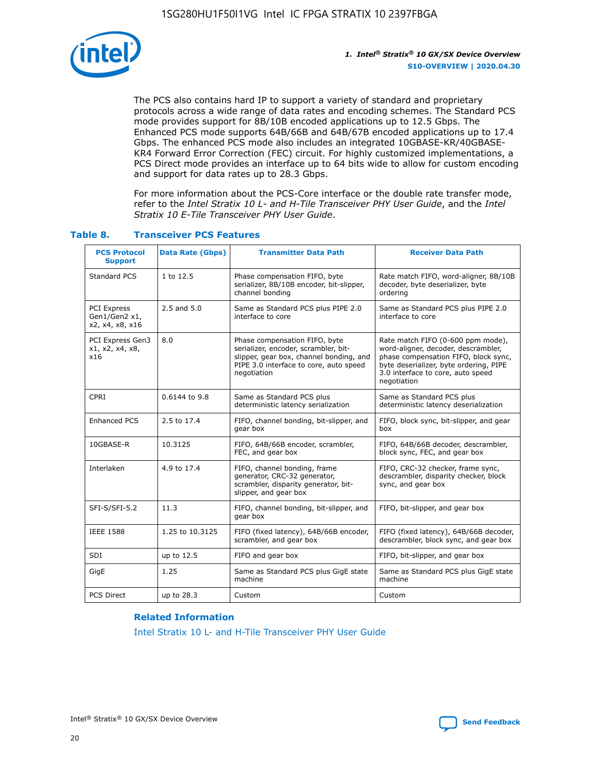

The PCS also contains hard IP to support a variety of standard and proprietary protocols across a wide range of data rates and encoding schemes. The Standard PCS mode provides support for 8B/10B encoded applications up to 12.5 Gbps. The Enhanced PCS mode supports 64B/66B and 64B/67B encoded applications up to 17.4 Gbps. The enhanced PCS mode also includes an integrated 10GBASE-KR/40GBASE-KR4 Forward Error Correction (FEC) circuit. For highly customized implementations, a PCS Direct mode provides an interface up to 64 bits wide to allow for custom encoding and support for data rates up to 28.3 Gbps.

For more information about the PCS-Core interface or the double rate transfer mode, refer to the *Intel Stratix 10 L- and H-Tile Transceiver PHY User Guide*, and the *Intel Stratix 10 E-Tile Transceiver PHY User Guide*.

| <b>PCS Protocol</b><br><b>Support</b>           | <b>Data Rate (Gbps)</b> | <b>Transmitter Data Path</b>                                                                                                                                              | <b>Receiver Data Path</b>                                                                                                                                                                                      |
|-------------------------------------------------|-------------------------|---------------------------------------------------------------------------------------------------------------------------------------------------------------------------|----------------------------------------------------------------------------------------------------------------------------------------------------------------------------------------------------------------|
| Standard PCS                                    | 1 to 12.5               | Phase compensation FIFO, byte<br>serializer, 8B/10B encoder, bit-slipper,<br>channel bonding                                                                              | Rate match FIFO, word-aligner, 8B/10B<br>decoder, byte deserializer, byte<br>ordering                                                                                                                          |
| PCI Express<br>Gen1/Gen2 x1,<br>x2, x4, x8, x16 | $2.5$ and $5.0$         | Same as Standard PCS plus PIPE 2.0<br>interface to core                                                                                                                   | Same as Standard PCS plus PIPE 2.0<br>interface to core                                                                                                                                                        |
| PCI Express Gen3<br>x1, x2, x4, x8,<br>x16      | 8.0                     | Phase compensation FIFO, byte<br>serializer, encoder, scrambler, bit-<br>slipper, gear box, channel bonding, and<br>PIPE 3.0 interface to core, auto speed<br>negotiation | Rate match FIFO (0-600 ppm mode),<br>word-aligner, decoder, descrambler,<br>phase compensation FIFO, block sync,<br>byte deserializer, byte ordering, PIPE<br>3.0 interface to core, auto speed<br>negotiation |
| CPRI                                            | 0.6144 to 9.8           | Same as Standard PCS plus<br>deterministic latency serialization                                                                                                          | Same as Standard PCS plus<br>deterministic latency deserialization                                                                                                                                             |
| <b>Enhanced PCS</b>                             | 2.5 to 17.4             | FIFO, channel bonding, bit-slipper, and<br>gear box                                                                                                                       | FIFO, block sync, bit-slipper, and gear<br>box                                                                                                                                                                 |
| 10GBASE-R                                       | 10.3125                 | FIFO, 64B/66B encoder, scrambler,<br>FEC, and gear box                                                                                                                    | FIFO, 64B/66B decoder, descrambler,<br>block sync, FEC, and gear box                                                                                                                                           |
| Interlaken                                      | 4.9 to 17.4             | FIFO, channel bonding, frame<br>generator, CRC-32 generator,<br>scrambler, disparity generator, bit-<br>slipper, and gear box                                             | FIFO, CRC-32 checker, frame sync,<br>descrambler, disparity checker, block<br>sync, and gear box                                                                                                               |
| SFI-S/SFI-5.2                                   | 11.3                    | FIFO, channel bonding, bit-slipper, and<br>gear box                                                                                                                       | FIFO, bit-slipper, and gear box                                                                                                                                                                                |
| <b>IEEE 1588</b>                                | 1.25 to 10.3125         | FIFO (fixed latency), 64B/66B encoder,<br>scrambler, and gear box                                                                                                         | FIFO (fixed latency), 64B/66B decoder,<br>descrambler, block sync, and gear box                                                                                                                                |
| SDI                                             | up to 12.5              | FIFO and gear box                                                                                                                                                         | FIFO, bit-slipper, and gear box                                                                                                                                                                                |
| GigE                                            | 1.25                    | Same as Standard PCS plus GigE state<br>machine                                                                                                                           | Same as Standard PCS plus GigE state<br>machine                                                                                                                                                                |
| <b>PCS Direct</b>                               | up to 28.3              | Custom                                                                                                                                                                    | Custom                                                                                                                                                                                                         |

### **Table 8. Transceiver PCS Features**

#### **Related Information**

[Intel Stratix 10 L- and H-Tile Transceiver PHY User Guide](https://www.altera.com/documentation/wry1479165198810.html)

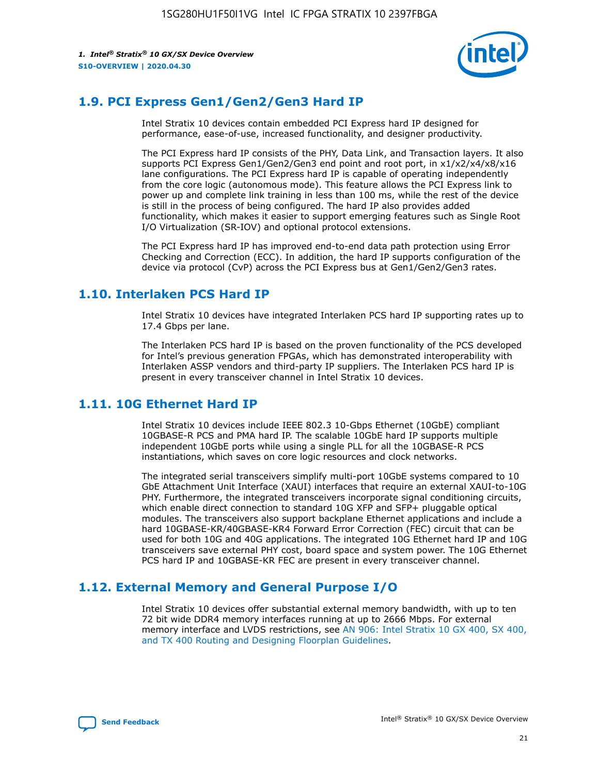

### **1.9. PCI Express Gen1/Gen2/Gen3 Hard IP**

Intel Stratix 10 devices contain embedded PCI Express hard IP designed for performance, ease-of-use, increased functionality, and designer productivity.

The PCI Express hard IP consists of the PHY, Data Link, and Transaction layers. It also supports PCI Express Gen1/Gen2/Gen3 end point and root port, in x1/x2/x4/x8/x16 lane configurations. The PCI Express hard IP is capable of operating independently from the core logic (autonomous mode). This feature allows the PCI Express link to power up and complete link training in less than 100 ms, while the rest of the device is still in the process of being configured. The hard IP also provides added functionality, which makes it easier to support emerging features such as Single Root I/O Virtualization (SR-IOV) and optional protocol extensions.

The PCI Express hard IP has improved end-to-end data path protection using Error Checking and Correction (ECC). In addition, the hard IP supports configuration of the device via protocol (CvP) across the PCI Express bus at Gen1/Gen2/Gen3 rates.

### **1.10. Interlaken PCS Hard IP**

Intel Stratix 10 devices have integrated Interlaken PCS hard IP supporting rates up to 17.4 Gbps per lane.

The Interlaken PCS hard IP is based on the proven functionality of the PCS developed for Intel's previous generation FPGAs, which has demonstrated interoperability with Interlaken ASSP vendors and third-party IP suppliers. The Interlaken PCS hard IP is present in every transceiver channel in Intel Stratix 10 devices.

### **1.11. 10G Ethernet Hard IP**

Intel Stratix 10 devices include IEEE 802.3 10-Gbps Ethernet (10GbE) compliant 10GBASE-R PCS and PMA hard IP. The scalable 10GbE hard IP supports multiple independent 10GbE ports while using a single PLL for all the 10GBASE-R PCS instantiations, which saves on core logic resources and clock networks.

The integrated serial transceivers simplify multi-port 10GbE systems compared to 10 GbE Attachment Unit Interface (XAUI) interfaces that require an external XAUI-to-10G PHY. Furthermore, the integrated transceivers incorporate signal conditioning circuits, which enable direct connection to standard 10G XFP and SFP+ pluggable optical modules. The transceivers also support backplane Ethernet applications and include a hard 10GBASE-KR/40GBASE-KR4 Forward Error Correction (FEC) circuit that can be used for both 10G and 40G applications. The integrated 10G Ethernet hard IP and 10G transceivers save external PHY cost, board space and system power. The 10G Ethernet PCS hard IP and 10GBASE-KR FEC are present in every transceiver channel.

### **1.12. External Memory and General Purpose I/O**

Intel Stratix 10 devices offer substantial external memory bandwidth, with up to ten 72 bit wide DDR4 memory interfaces running at up to 2666 Mbps. For external memory interface and LVDS restrictions, see [AN 906: Intel Stratix 10 GX 400, SX 400,](https://www.intel.com/content/www/us/en/programmable/documentation/sjf1574667190623.html#bft1574667627484) [and TX 400 Routing and Designing Floorplan Guidelines.](https://www.intel.com/content/www/us/en/programmable/documentation/sjf1574667190623.html#bft1574667627484)

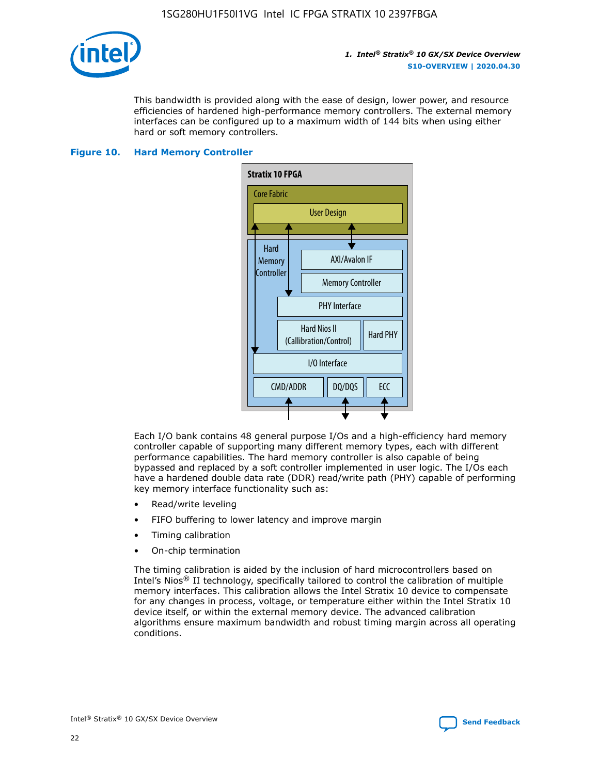

This bandwidth is provided along with the ease of design, lower power, and resource efficiencies of hardened high-performance memory controllers. The external memory interfaces can be configured up to a maximum width of 144 bits when using either hard or soft memory controllers.

#### **Figure 10. Hard Memory Controller**



Each I/O bank contains 48 general purpose I/Os and a high-efficiency hard memory controller capable of supporting many different memory types, each with different performance capabilities. The hard memory controller is also capable of being bypassed and replaced by a soft controller implemented in user logic. The I/Os each have a hardened double data rate (DDR) read/write path (PHY) capable of performing key memory interface functionality such as:

- Read/write leveling
- FIFO buffering to lower latency and improve margin
- Timing calibration
- On-chip termination

The timing calibration is aided by the inclusion of hard microcontrollers based on Intel's Nios® II technology, specifically tailored to control the calibration of multiple memory interfaces. This calibration allows the Intel Stratix 10 device to compensate for any changes in process, voltage, or temperature either within the Intel Stratix 10 device itself, or within the external memory device. The advanced calibration algorithms ensure maximum bandwidth and robust timing margin across all operating conditions.

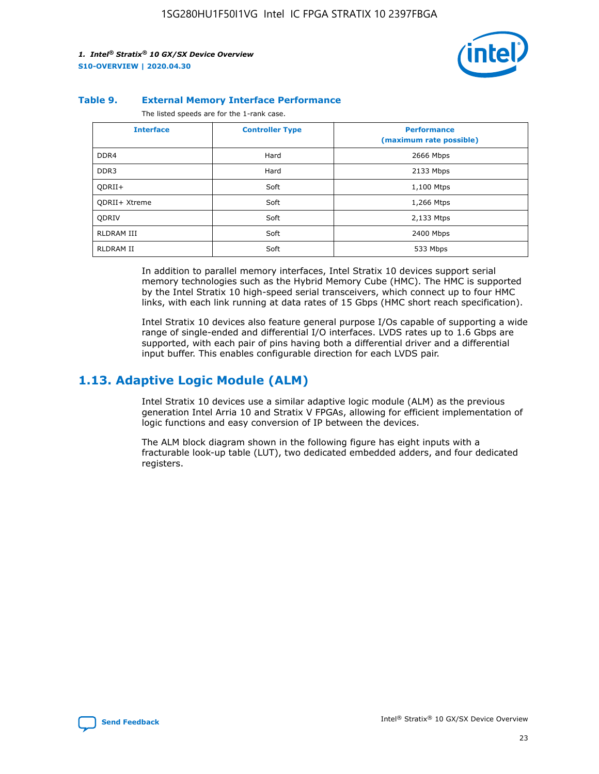

#### **Table 9. External Memory Interface Performance**

The listed speeds are for the 1-rank case.

| <b>Interface</b>     | <b>Controller Type</b> | <b>Performance</b><br>(maximum rate possible) |
|----------------------|------------------------|-----------------------------------------------|
| DDR4                 | Hard                   | 2666 Mbps                                     |
| DDR <sub>3</sub>     | Hard                   | 2133 Mbps                                     |
| QDRII+               | Soft                   | 1,100 Mtps                                    |
| <b>ODRII+ Xtreme</b> | Soft                   | 1,266 Mtps                                    |
| <b>ODRIV</b>         | Soft                   | 2,133 Mtps                                    |
| RLDRAM III           | Soft                   | 2400 Mbps                                     |
| <b>RLDRAM II</b>     | Soft                   | 533 Mbps                                      |

In addition to parallel memory interfaces, Intel Stratix 10 devices support serial memory technologies such as the Hybrid Memory Cube (HMC). The HMC is supported by the Intel Stratix 10 high-speed serial transceivers, which connect up to four HMC links, with each link running at data rates of 15 Gbps (HMC short reach specification).

Intel Stratix 10 devices also feature general purpose I/Os capable of supporting a wide range of single-ended and differential I/O interfaces. LVDS rates up to 1.6 Gbps are supported, with each pair of pins having both a differential driver and a differential input buffer. This enables configurable direction for each LVDS pair.

### **1.13. Adaptive Logic Module (ALM)**

Intel Stratix 10 devices use a similar adaptive logic module (ALM) as the previous generation Intel Arria 10 and Stratix V FPGAs, allowing for efficient implementation of logic functions and easy conversion of IP between the devices.

The ALM block diagram shown in the following figure has eight inputs with a fracturable look-up table (LUT), two dedicated embedded adders, and four dedicated registers.

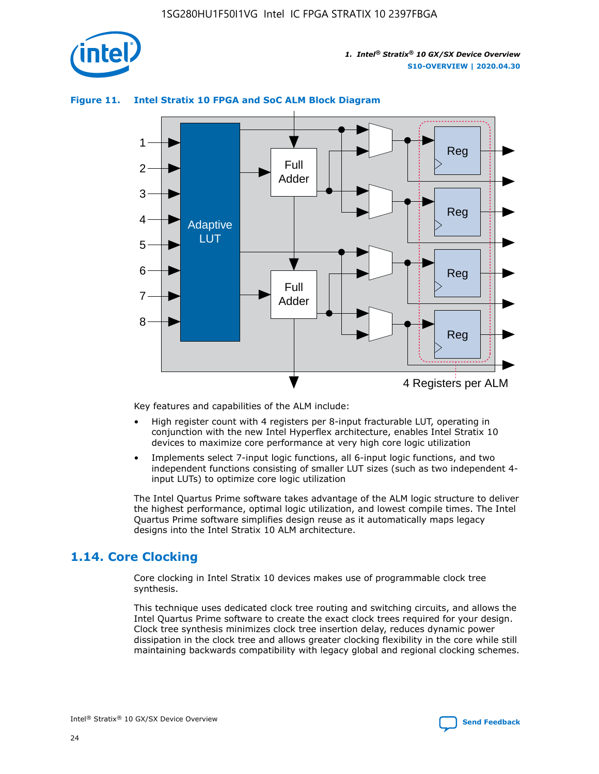

### **Figure 11. Intel Stratix 10 FPGA and SoC ALM Block Diagram**



Key features and capabilities of the ALM include:

- High register count with 4 registers per 8-input fracturable LUT, operating in conjunction with the new Intel Hyperflex architecture, enables Intel Stratix 10 devices to maximize core performance at very high core logic utilization
- Implements select 7-input logic functions, all 6-input logic functions, and two independent functions consisting of smaller LUT sizes (such as two independent 4 input LUTs) to optimize core logic utilization

The Intel Quartus Prime software takes advantage of the ALM logic structure to deliver the highest performance, optimal logic utilization, and lowest compile times. The Intel Quartus Prime software simplifies design reuse as it automatically maps legacy designs into the Intel Stratix 10 ALM architecture.

### **1.14. Core Clocking**

Core clocking in Intel Stratix 10 devices makes use of programmable clock tree synthesis.

This technique uses dedicated clock tree routing and switching circuits, and allows the Intel Quartus Prime software to create the exact clock trees required for your design. Clock tree synthesis minimizes clock tree insertion delay, reduces dynamic power dissipation in the clock tree and allows greater clocking flexibility in the core while still maintaining backwards compatibility with legacy global and regional clocking schemes.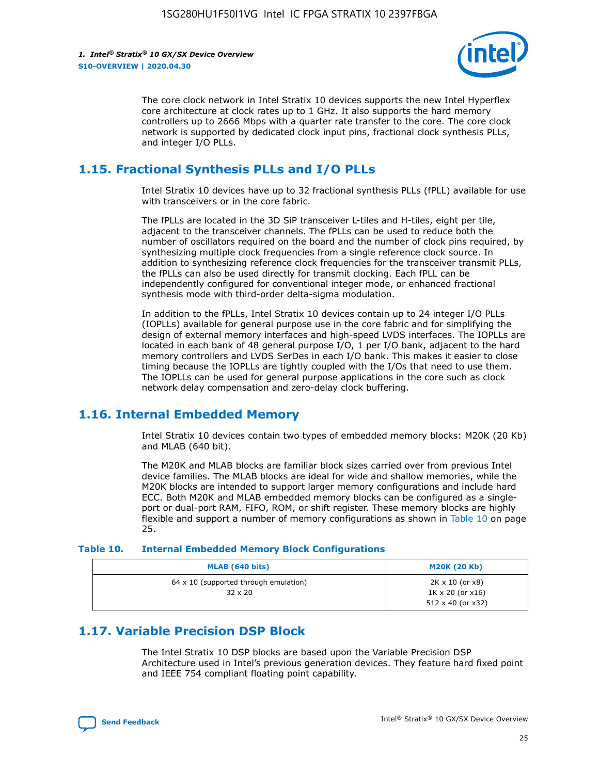

The core clock network in Intel Stratix 10 devices supports the new Intel Hyperflex core architecture at clock rates up to 1 GHz. It also supports the hard memory controllers up to 2666 Mbps with a quarter rate transfer to the core. The core clock network is supported by dedicated clock input pins, fractional clock synthesis PLLs, and integer I/O PLLs.

### **1.15. Fractional Synthesis PLLs and I/O PLLs**

Intel Stratix 10 devices have up to 32 fractional synthesis PLLs (fPLL) available for use with transceivers or in the core fabric.

The fPLLs are located in the 3D SiP transceiver L-tiles and H-tiles, eight per tile, adjacent to the transceiver channels. The fPLLs can be used to reduce both the number of oscillators required on the board and the number of clock pins required, by synthesizing multiple clock frequencies from a single reference clock source. In addition to synthesizing reference clock frequencies for the transceiver transmit PLLs, the fPLLs can also be used directly for transmit clocking. Each fPLL can be independently configured for conventional integer mode, or enhanced fractional synthesis mode with third-order delta-sigma modulation.

In addition to the fPLLs, Intel Stratix 10 devices contain up to 24 integer I/O PLLs (IOPLLs) available for general purpose use in the core fabric and for simplifying the design of external memory interfaces and high-speed LVDS interfaces. The IOPLLs are located in each bank of 48 general purpose I/O, 1 per I/O bank, adjacent to the hard memory controllers and LVDS SerDes in each I/O bank. This makes it easier to close timing because the IOPLLs are tightly coupled with the I/Os that need to use them. The IOPLLs can be used for general purpose applications in the core such as clock network delay compensation and zero-delay clock buffering.

### **1.16. Internal Embedded Memory**

Intel Stratix 10 devices contain two types of embedded memory blocks: M20K (20 Kb) and MLAB (640 bit).

The M20K and MLAB blocks are familiar block sizes carried over from previous Intel device families. The MLAB blocks are ideal for wide and shallow memories, while the M20K blocks are intended to support larger memory configurations and include hard ECC. Both M20K and MLAB embedded memory blocks can be configured as a singleport or dual-port RAM, FIFO, ROM, or shift register. These memory blocks are highly flexible and support a number of memory configurations as shown in Table 10 on page 25.

#### **Table 10. Internal Embedded Memory Block Configurations**

| MLAB (640 bits)                                                | <b>M20K (20 Kb)</b>                                                          |
|----------------------------------------------------------------|------------------------------------------------------------------------------|
| $64 \times 10$ (supported through emulation)<br>$32 \times 20$ | 2K x 10 (or x8)<br>$1K \times 20$ (or $x16$ )<br>$512 \times 40$ (or $x32$ ) |

### **1.17. Variable Precision DSP Block**

The Intel Stratix 10 DSP blocks are based upon the Variable Precision DSP Architecture used in Intel's previous generation devices. They feature hard fixed point and IEEE 754 compliant floating point capability.

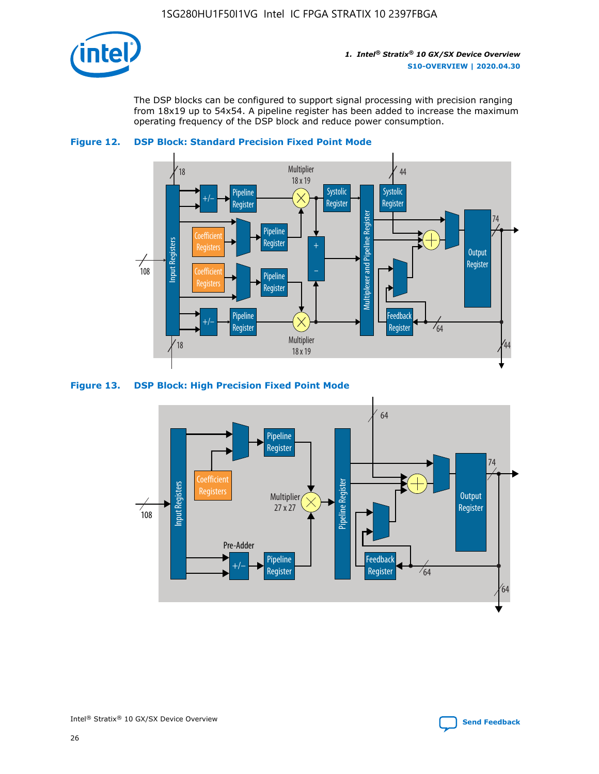

The DSP blocks can be configured to support signal processing with precision ranging from 18x19 up to 54x54. A pipeline register has been added to increase the maximum operating frequency of the DSP block and reduce power consumption.





#### **Figure 13. DSP Block: High Precision Fixed Point Mode**

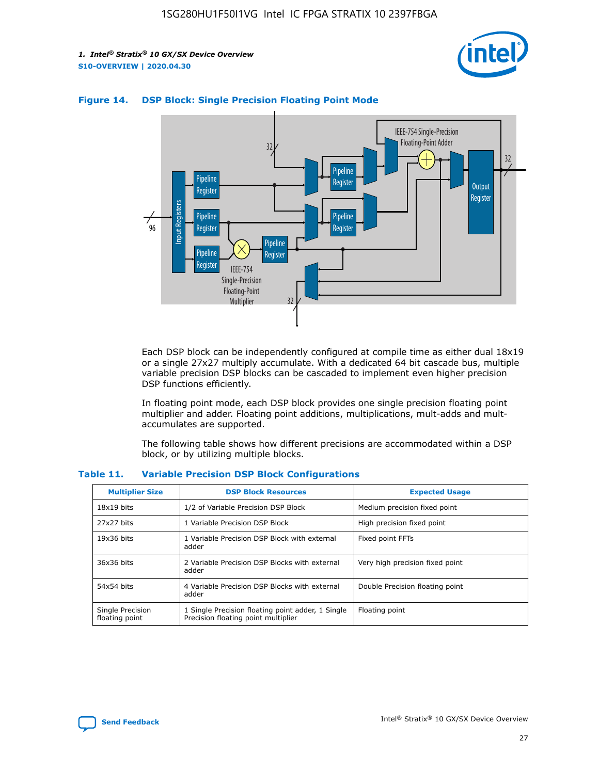



### **Figure 14. DSP Block: Single Precision Floating Point Mode**

Each DSP block can be independently configured at compile time as either dual 18x19 or a single 27x27 multiply accumulate. With a dedicated 64 bit cascade bus, multiple variable precision DSP blocks can be cascaded to implement even higher precision DSP functions efficiently.

In floating point mode, each DSP block provides one single precision floating point multiplier and adder. Floating point additions, multiplications, mult-adds and multaccumulates are supported.

The following table shows how different precisions are accommodated within a DSP block, or by utilizing multiple blocks.

| <b>Multiplier Size</b>             | <b>DSP Block Resources</b>                                                               | <b>Expected Usage</b>           |
|------------------------------------|------------------------------------------------------------------------------------------|---------------------------------|
| $18x19$ bits                       | 1/2 of Variable Precision DSP Block                                                      | Medium precision fixed point    |
| 27x27 bits                         | 1 Variable Precision DSP Block                                                           | High precision fixed point      |
| $19x36$ bits                       | 1 Variable Precision DSP Block with external<br>adder                                    | Fixed point FFTs                |
| 36x36 bits                         | 2 Variable Precision DSP Blocks with external<br>adder                                   | Very high precision fixed point |
| 54x54 bits                         | 4 Variable Precision DSP Blocks with external<br>adder                                   | Double Precision floating point |
| Single Precision<br>floating point | 1 Single Precision floating point adder, 1 Single<br>Precision floating point multiplier | Floating point                  |

#### **Table 11. Variable Precision DSP Block Configurations**

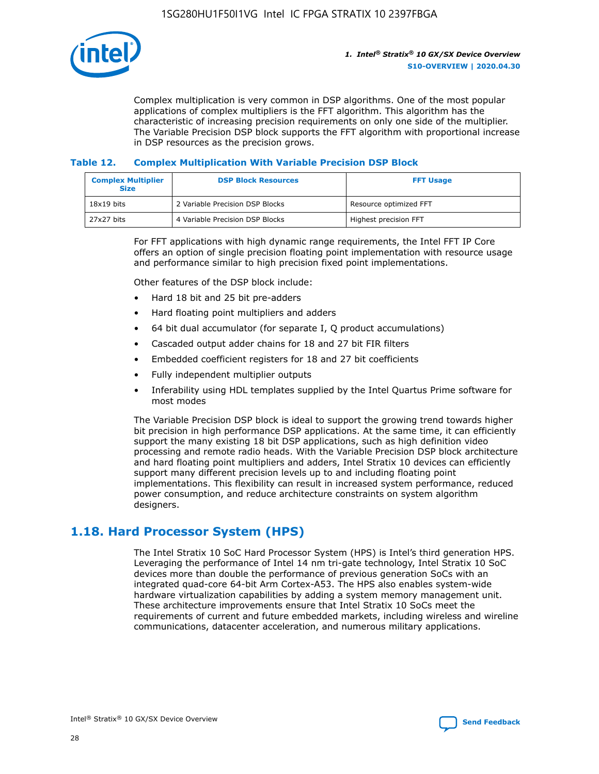

Complex multiplication is very common in DSP algorithms. One of the most popular applications of complex multipliers is the FFT algorithm. This algorithm has the characteristic of increasing precision requirements on only one side of the multiplier. The Variable Precision DSP block supports the FFT algorithm with proportional increase in DSP resources as the precision grows.

### **Table 12. Complex Multiplication With Variable Precision DSP Block**

| <b>Complex Multiplier</b><br><b>Size</b> | <b>DSP Block Resources</b>      | <b>FFT Usage</b>       |
|------------------------------------------|---------------------------------|------------------------|
| $18x19$ bits                             | 2 Variable Precision DSP Blocks | Resource optimized FFT |
| 27x27 bits                               | 4 Variable Precision DSP Blocks | Highest precision FFT  |

For FFT applications with high dynamic range requirements, the Intel FFT IP Core offers an option of single precision floating point implementation with resource usage and performance similar to high precision fixed point implementations.

Other features of the DSP block include:

- Hard 18 bit and 25 bit pre-adders
- Hard floating point multipliers and adders
- 64 bit dual accumulator (for separate I, Q product accumulations)
- Cascaded output adder chains for 18 and 27 bit FIR filters
- Embedded coefficient registers for 18 and 27 bit coefficients
- Fully independent multiplier outputs
- Inferability using HDL templates supplied by the Intel Quartus Prime software for most modes

The Variable Precision DSP block is ideal to support the growing trend towards higher bit precision in high performance DSP applications. At the same time, it can efficiently support the many existing 18 bit DSP applications, such as high definition video processing and remote radio heads. With the Variable Precision DSP block architecture and hard floating point multipliers and adders, Intel Stratix 10 devices can efficiently support many different precision levels up to and including floating point implementations. This flexibility can result in increased system performance, reduced power consumption, and reduce architecture constraints on system algorithm designers.

### **1.18. Hard Processor System (HPS)**

The Intel Stratix 10 SoC Hard Processor System (HPS) is Intel's third generation HPS. Leveraging the performance of Intel 14 nm tri-gate technology, Intel Stratix 10 SoC devices more than double the performance of previous generation SoCs with an integrated quad-core 64-bit Arm Cortex-A53. The HPS also enables system-wide hardware virtualization capabilities by adding a system memory management unit. These architecture improvements ensure that Intel Stratix 10 SoCs meet the requirements of current and future embedded markets, including wireless and wireline communications, datacenter acceleration, and numerous military applications.

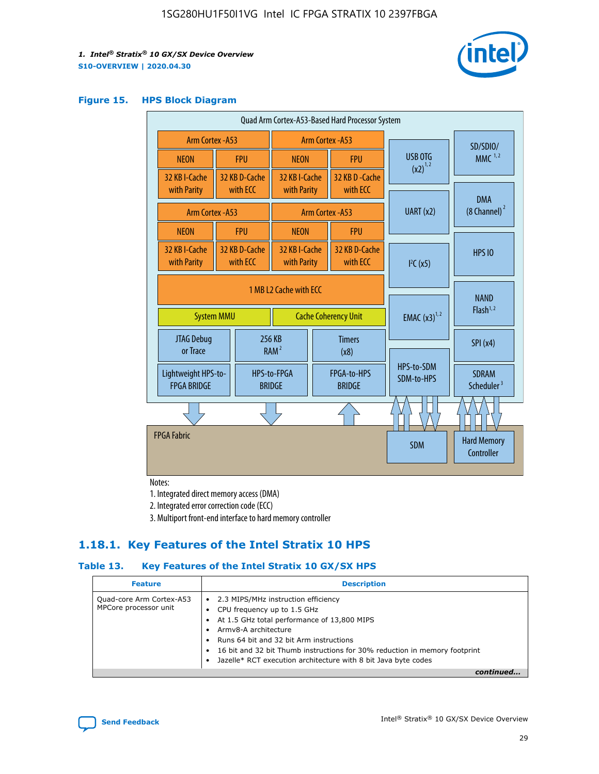

#### **Figure 15. HPS Block Diagram**

| Quad Arm Cortex-A53-Based Hard Processor System |  |                           |                                                     |  |                              |                          |                                     |                                        |
|-------------------------------------------------|--|---------------------------|-----------------------------------------------------|--|------------------------------|--------------------------|-------------------------------------|----------------------------------------|
| <b>Arm Cortex - A53</b>                         |  |                           | Arm Cortex - A53                                    |  |                              |                          | SD/SDIO/                            |                                        |
| <b>NEON</b>                                     |  | <b>FPU</b>                | <b>NEON</b>                                         |  | <b>FPU</b>                   |                          | USB OTG                             | $MMC$ <sup>1,2</sup>                   |
| 32 KB I-Cache                                   |  | 32 KB D-Cache             | 32 KB I-Cache                                       |  | 32 KB D - Cache              |                          | $(x2)^{1,2}$                        |                                        |
| with Parity                                     |  | with ECC                  | with Parity                                         |  | with ECC                     |                          |                                     | <b>DMA</b>                             |
| Arm Cortex - A53                                |  |                           |                                                     |  | Arm Cortex - A53             | UART (x2)                |                                     | $(8 \text{ Channel})^2$                |
| <b>NEON</b>                                     |  | <b>FPU</b>                | <b>NEON</b>                                         |  | <b>FPU</b>                   |                          |                                     |                                        |
| 32 KB I-Cache<br>with Parity                    |  | 32 KB D-Cache<br>with ECC | 32 KB I-Cache<br>with Parity                        |  | 32 KB D-Cache<br>with ECC    |                          | I <sup>2</sup> C(x5)                | <b>HPS 10</b>                          |
| 1 MB L2 Cache with ECC                          |  |                           |                                                     |  |                              |                          |                                     |                                        |
| <b>System MMU</b>                               |  |                           | <b>Cache Coherency Unit</b>                         |  |                              | <b>EMAC</b> $(x3)^{1,2}$ | <b>NAND</b><br>Flash <sup>1,2</sup> |                                        |
| JTAG Debug<br>or Trace                          |  |                           | 256 KB<br><b>Timers</b><br>RAM <sup>2</sup><br>(x8) |  |                              |                          | SPI(x4)                             |                                        |
| Lightweight HPS-to-<br><b>FPGA BRIDGE</b>       |  |                           | HPS-to-FPGA<br><b>BRIDGE</b>                        |  | FPGA-to-HPS<br><b>BRIDGE</b> |                          | HPS-to-SDM<br>SDM-to-HPS            | <b>SDRAM</b><br>Scheduler <sup>3</sup> |
|                                                 |  |                           |                                                     |  |                              |                          |                                     |                                        |
| <b>FPGA Fabric</b>                              |  |                           |                                                     |  |                              |                          | <b>SDM</b>                          | <b>Hard Memory</b><br>Controller       |
|                                                 |  |                           |                                                     |  |                              |                          |                                     |                                        |

Notes:

1. Integrated direct memory access (DMA)

2. Integrated error correction code (ECC)

3. Multiport front-end interface to hard memory controller

### **1.18.1. Key Features of the Intel Stratix 10 HPS**

### **Table 13. Key Features of the Intel Stratix 10 GX/SX HPS**

| <b>Feature</b>                                    | <b>Description</b>                                                                                                                                                                                                                                                                                                                                     |
|---------------------------------------------------|--------------------------------------------------------------------------------------------------------------------------------------------------------------------------------------------------------------------------------------------------------------------------------------------------------------------------------------------------------|
| Quad-core Arm Cortex-A53<br>MPCore processor unit | 2.3 MIPS/MHz instruction efficiency<br>$\bullet$<br>CPU frequency up to 1.5 GHz<br>٠<br>At 1.5 GHz total performance of 13,800 MIPS<br>Army8-A architecture<br>Runs 64 bit and 32 bit Arm instructions<br>16 bit and 32 bit Thumb instructions for 30% reduction in memory footprint<br>Jazelle* RCT execution architecture with 8 bit Java byte codes |
|                                                   |                                                                                                                                                                                                                                                                                                                                                        |

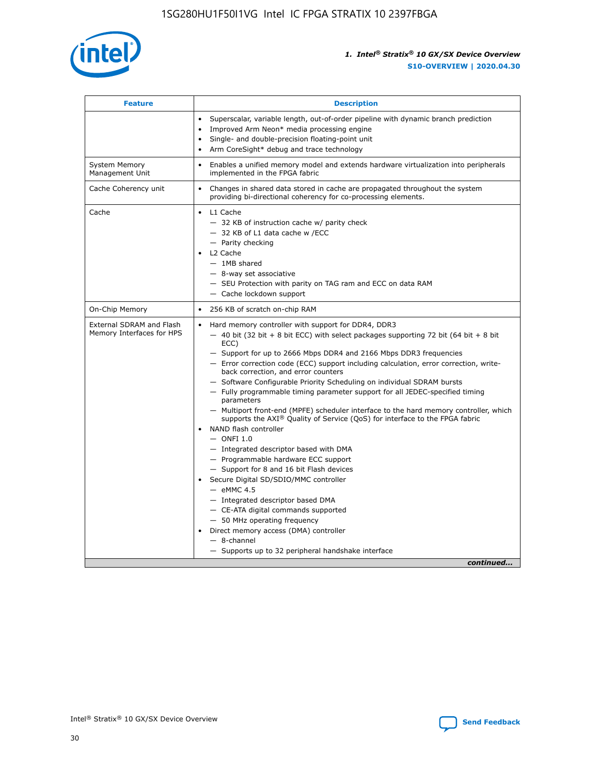

| <b>Feature</b>                                        | <b>Description</b>                                                                                                                                                                                                                                                                                                                                                                                                                                                                                                                                                                                                                                                                                                                                                                                                                                                                                                                                                                                                                                                                                                                                                                                                     |
|-------------------------------------------------------|------------------------------------------------------------------------------------------------------------------------------------------------------------------------------------------------------------------------------------------------------------------------------------------------------------------------------------------------------------------------------------------------------------------------------------------------------------------------------------------------------------------------------------------------------------------------------------------------------------------------------------------------------------------------------------------------------------------------------------------------------------------------------------------------------------------------------------------------------------------------------------------------------------------------------------------------------------------------------------------------------------------------------------------------------------------------------------------------------------------------------------------------------------------------------------------------------------------------|
|                                                       | Superscalar, variable length, out-of-order pipeline with dynamic branch prediction<br>Improved Arm Neon* media processing engine<br>$\bullet$<br>Single- and double-precision floating-point unit<br>Arm CoreSight* debug and trace technology<br>$\bullet$                                                                                                                                                                                                                                                                                                                                                                                                                                                                                                                                                                                                                                                                                                                                                                                                                                                                                                                                                            |
| <b>System Memory</b><br>Management Unit               | Enables a unified memory model and extends hardware virtualization into peripherals<br>$\bullet$<br>implemented in the FPGA fabric                                                                                                                                                                                                                                                                                                                                                                                                                                                                                                                                                                                                                                                                                                                                                                                                                                                                                                                                                                                                                                                                                     |
| Cache Coherency unit                                  | $\bullet$<br>Changes in shared data stored in cache are propagated throughout the system<br>providing bi-directional coherency for co-processing elements.                                                                                                                                                                                                                                                                                                                                                                                                                                                                                                                                                                                                                                                                                                                                                                                                                                                                                                                                                                                                                                                             |
| Cache                                                 | L1 Cache<br>$\bullet$<br>- 32 KB of instruction cache w/ parity check<br>- 32 KB of L1 data cache w /ECC<br>- Parity checking<br>L2 Cache<br>$-$ 1MB shared<br>- 8-way set associative<br>- SEU Protection with parity on TAG ram and ECC on data RAM<br>- Cache lockdown support                                                                                                                                                                                                                                                                                                                                                                                                                                                                                                                                                                                                                                                                                                                                                                                                                                                                                                                                      |
| On-Chip Memory                                        | 256 KB of scratch on-chip RAM<br>$\bullet$                                                                                                                                                                                                                                                                                                                                                                                                                                                                                                                                                                                                                                                                                                                                                                                                                                                                                                                                                                                                                                                                                                                                                                             |
| External SDRAM and Flash<br>Memory Interfaces for HPS | Hard memory controller with support for DDR4, DDR3<br>$\bullet$<br>$-$ 40 bit (32 bit + 8 bit ECC) with select packages supporting 72 bit (64 bit + 8 bit<br>ECC)<br>- Support for up to 2666 Mbps DDR4 and 2166 Mbps DDR3 frequencies<br>- Error correction code (ECC) support including calculation, error correction, write-<br>back correction, and error counters<br>- Software Configurable Priority Scheduling on individual SDRAM bursts<br>- Fully programmable timing parameter support for all JEDEC-specified timing<br>parameters<br>- Multiport front-end (MPFE) scheduler interface to the hard memory controller, which<br>supports the $AXI^{\circledR}$ Quality of Service (QoS) for interface to the FPGA fabric<br>NAND flash controller<br>$-$ ONFI 1.0<br>- Integrated descriptor based with DMA<br>- Programmable hardware ECC support<br>- Support for 8 and 16 bit Flash devices<br>Secure Digital SD/SDIO/MMC controller<br>$-$ eMMC 4.5<br>- Integrated descriptor based DMA<br>- CE-ATA digital commands supported<br>- 50 MHz operating frequency<br>Direct memory access (DMA) controller<br>$\bullet$<br>- 8-channel<br>- Supports up to 32 peripheral handshake interface<br>continued |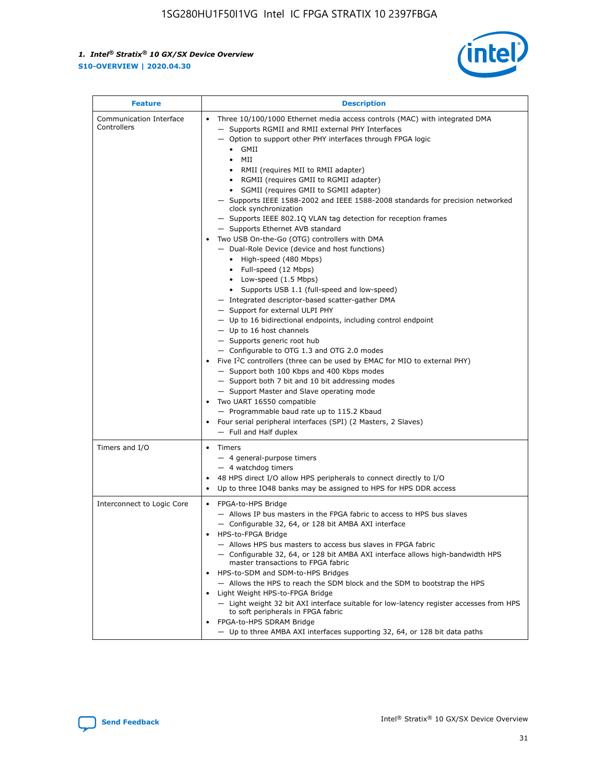

| <b>Feature</b>                         | <b>Description</b>                                                                                                                                                                                                                                                                                                                                                                                                                                                                                                                                                                                                                                                                                                                                                                                                                                                                                                                                                                                                                                                                                                                                                                                                                                                                                                                                                                                                                                                                                                        |
|----------------------------------------|---------------------------------------------------------------------------------------------------------------------------------------------------------------------------------------------------------------------------------------------------------------------------------------------------------------------------------------------------------------------------------------------------------------------------------------------------------------------------------------------------------------------------------------------------------------------------------------------------------------------------------------------------------------------------------------------------------------------------------------------------------------------------------------------------------------------------------------------------------------------------------------------------------------------------------------------------------------------------------------------------------------------------------------------------------------------------------------------------------------------------------------------------------------------------------------------------------------------------------------------------------------------------------------------------------------------------------------------------------------------------------------------------------------------------------------------------------------------------------------------------------------------------|
| Communication Interface<br>Controllers | Three 10/100/1000 Ethernet media access controls (MAC) with integrated DMA<br>$\bullet$<br>- Supports RGMII and RMII external PHY Interfaces<br>- Option to support other PHY interfaces through FPGA logic<br>GMII<br>$\bullet$<br>MII<br>$\bullet$<br>RMII (requires MII to RMII adapter)<br>$\bullet$<br>• RGMII (requires GMII to RGMII adapter)<br>SGMII (requires GMII to SGMII adapter)<br>- Supports IEEE 1588-2002 and IEEE 1588-2008 standards for precision networked<br>clock synchronization<br>- Supports IEEE 802.1Q VLAN tag detection for reception frames<br>- Supports Ethernet AVB standard<br>Two USB On-the-Go (OTG) controllers with DMA<br>- Dual-Role Device (device and host functions)<br>• High-speed (480 Mbps)<br>• Full-speed (12 Mbps)<br>• Low-speed (1.5 Mbps)<br>• Supports USB 1.1 (full-speed and low-speed)<br>- Integrated descriptor-based scatter-gather DMA<br>- Support for external ULPI PHY<br>- Up to 16 bidirectional endpoints, including control endpoint<br>$-$ Up to 16 host channels<br>- Supports generic root hub<br>- Configurable to OTG 1.3 and OTG 2.0 modes<br>Five $I2C$ controllers (three can be used by EMAC for MIO to external PHY)<br>- Support both 100 Kbps and 400 Kbps modes<br>- Support both 7 bit and 10 bit addressing modes<br>- Support Master and Slave operating mode<br>Two UART 16550 compatible<br>- Programmable baud rate up to 115.2 Kbaud<br>Four serial peripheral interfaces (SPI) (2 Masters, 2 Slaves)<br>- Full and Half duplex |
| Timers and I/O                         | • Timers<br>- 4 general-purpose timers<br>$-4$ watchdog timers<br>48 HPS direct I/O allow HPS peripherals to connect directly to I/O<br>Up to three IO48 banks may be assigned to HPS for HPS DDR access                                                                                                                                                                                                                                                                                                                                                                                                                                                                                                                                                                                                                                                                                                                                                                                                                                                                                                                                                                                                                                                                                                                                                                                                                                                                                                                  |
| Interconnect to Logic Core             | • FPGA-to-HPS Bridge<br>- Allows IP bus masters in the FPGA fabric to access to HPS bus slaves<br>- Configurable 32, 64, or 128 bit AMBA AXI interface<br>HPS-to-FPGA Bridge<br>- Allows HPS bus masters to access bus slaves in FPGA fabric<br>- Configurable 32, 64, or 128 bit AMBA AXI interface allows high-bandwidth HPS<br>master transactions to FPGA fabric<br>HPS-to-SDM and SDM-to-HPS Bridges<br>- Allows the HPS to reach the SDM block and the SDM to bootstrap the HPS<br>Light Weight HPS-to-FPGA Bridge<br>- Light weight 32 bit AXI interface suitable for low-latency register accesses from HPS<br>to soft peripherals in FPGA fabric<br>FPGA-to-HPS SDRAM Bridge<br>- Up to three AMBA AXI interfaces supporting 32, 64, or 128 bit data paths                                                                                                                                                                                                                                                                                                                                                                                                                                                                                                                                                                                                                                                                                                                                                       |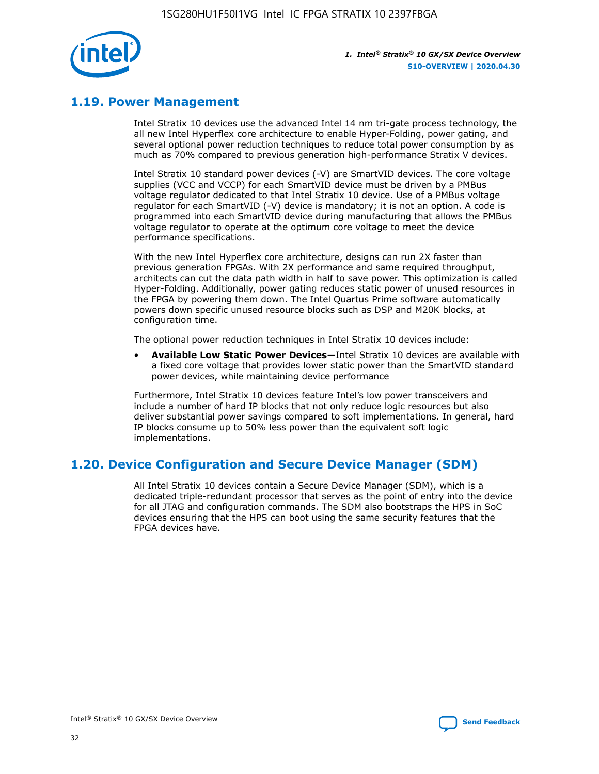

### **1.19. Power Management**

Intel Stratix 10 devices use the advanced Intel 14 nm tri-gate process technology, the all new Intel Hyperflex core architecture to enable Hyper-Folding, power gating, and several optional power reduction techniques to reduce total power consumption by as much as 70% compared to previous generation high-performance Stratix V devices.

Intel Stratix 10 standard power devices (-V) are SmartVID devices. The core voltage supplies (VCC and VCCP) for each SmartVID device must be driven by a PMBus voltage regulator dedicated to that Intel Stratix 10 device. Use of a PMBus voltage regulator for each SmartVID (-V) device is mandatory; it is not an option. A code is programmed into each SmartVID device during manufacturing that allows the PMBus voltage regulator to operate at the optimum core voltage to meet the device performance specifications.

With the new Intel Hyperflex core architecture, designs can run 2X faster than previous generation FPGAs. With 2X performance and same required throughput, architects can cut the data path width in half to save power. This optimization is called Hyper-Folding. Additionally, power gating reduces static power of unused resources in the FPGA by powering them down. The Intel Quartus Prime software automatically powers down specific unused resource blocks such as DSP and M20K blocks, at configuration time.

The optional power reduction techniques in Intel Stratix 10 devices include:

• **Available Low Static Power Devices**—Intel Stratix 10 devices are available with a fixed core voltage that provides lower static power than the SmartVID standard power devices, while maintaining device performance

Furthermore, Intel Stratix 10 devices feature Intel's low power transceivers and include a number of hard IP blocks that not only reduce logic resources but also deliver substantial power savings compared to soft implementations. In general, hard IP blocks consume up to 50% less power than the equivalent soft logic implementations.

### **1.20. Device Configuration and Secure Device Manager (SDM)**

All Intel Stratix 10 devices contain a Secure Device Manager (SDM), which is a dedicated triple-redundant processor that serves as the point of entry into the device for all JTAG and configuration commands. The SDM also bootstraps the HPS in SoC devices ensuring that the HPS can boot using the same security features that the FPGA devices have.

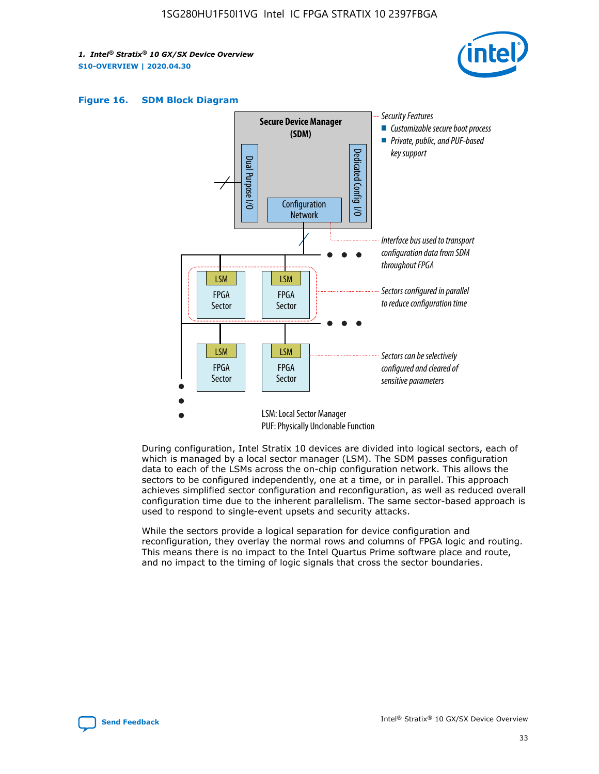





During configuration, Intel Stratix 10 devices are divided into logical sectors, each of which is managed by a local sector manager (LSM). The SDM passes configuration data to each of the LSMs across the on-chip configuration network. This allows the sectors to be configured independently, one at a time, or in parallel. This approach achieves simplified sector configuration and reconfiguration, as well as reduced overall configuration time due to the inherent parallelism. The same sector-based approach is used to respond to single-event upsets and security attacks.

While the sectors provide a logical separation for device configuration and reconfiguration, they overlay the normal rows and columns of FPGA logic and routing. This means there is no impact to the Intel Quartus Prime software place and route, and no impact to the timing of logic signals that cross the sector boundaries.

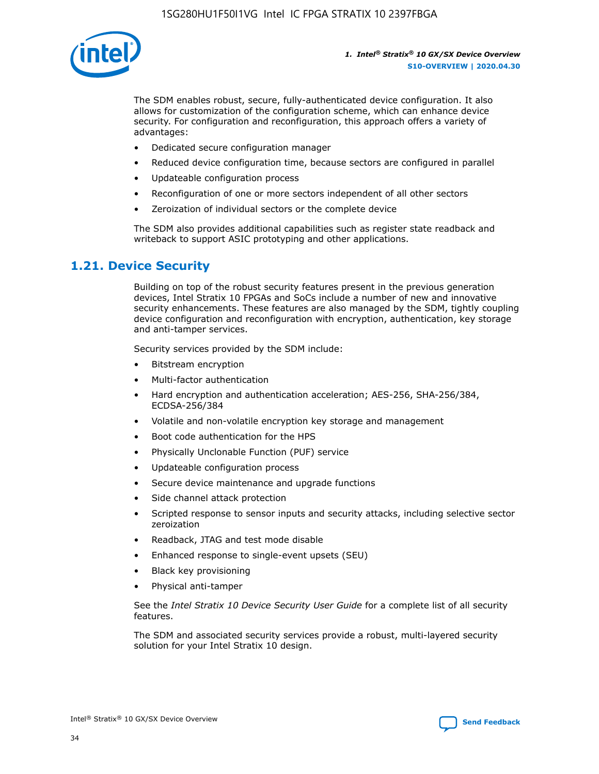

The SDM enables robust, secure, fully-authenticated device configuration. It also allows for customization of the configuration scheme, which can enhance device security. For configuration and reconfiguration, this approach offers a variety of advantages:

- Dedicated secure configuration manager
- Reduced device configuration time, because sectors are configured in parallel
- Updateable configuration process
- Reconfiguration of one or more sectors independent of all other sectors
- Zeroization of individual sectors or the complete device

The SDM also provides additional capabilities such as register state readback and writeback to support ASIC prototyping and other applications.

### **1.21. Device Security**

Building on top of the robust security features present in the previous generation devices, Intel Stratix 10 FPGAs and SoCs include a number of new and innovative security enhancements. These features are also managed by the SDM, tightly coupling device configuration and reconfiguration with encryption, authentication, key storage and anti-tamper services.

Security services provided by the SDM include:

- Bitstream encryption
- Multi-factor authentication
- Hard encryption and authentication acceleration; AES-256, SHA-256/384, ECDSA-256/384
- Volatile and non-volatile encryption key storage and management
- Boot code authentication for the HPS
- Physically Unclonable Function (PUF) service
- Updateable configuration process
- Secure device maintenance and upgrade functions
- Side channel attack protection
- Scripted response to sensor inputs and security attacks, including selective sector zeroization
- Readback, JTAG and test mode disable
- Enhanced response to single-event upsets (SEU)
- Black key provisioning
- Physical anti-tamper

See the *Intel Stratix 10 Device Security User Guide* for a complete list of all security features.

The SDM and associated security services provide a robust, multi-layered security solution for your Intel Stratix 10 design.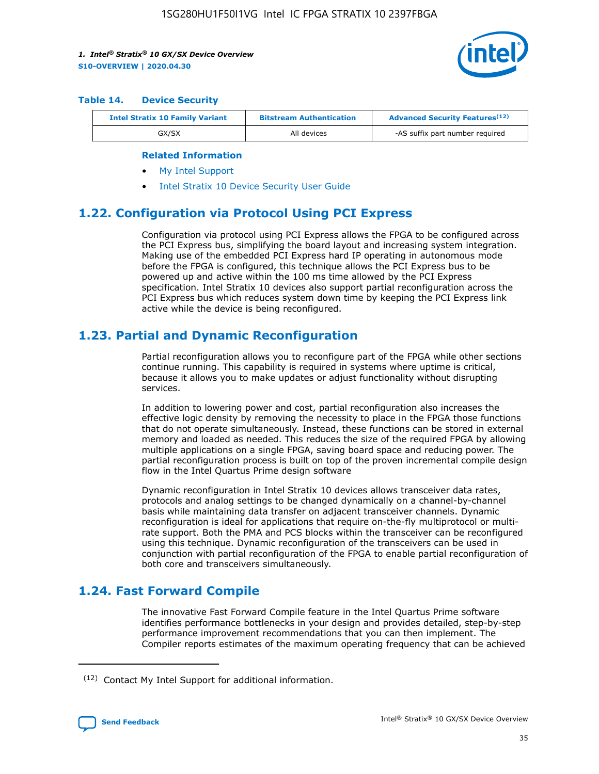

#### **Table 14. Device Security**

| <b>Intel Stratix 10 Family Variant</b> | <b>Bitstream Authentication</b> | <b>Advanced Security Features</b> <sup>(12)</sup> |
|----------------------------------------|---------------------------------|---------------------------------------------------|
| GX/SX                                  | All devices                     | -AS suffix part number required                   |

#### **Related Information**

- [My Intel Support](https://www.intel.com/content/www/us/en/programmable/my-intel/mal-home.html)
- [Intel Stratix 10 Device Security User Guide](https://www.intel.com/content/www/us/en/programmable/documentation/ndq1483601370898.html#wcd1483611014402)

### **1.22. Configuration via Protocol Using PCI Express**

Configuration via protocol using PCI Express allows the FPGA to be configured across the PCI Express bus, simplifying the board layout and increasing system integration. Making use of the embedded PCI Express hard IP operating in autonomous mode before the FPGA is configured, this technique allows the PCI Express bus to be powered up and active within the 100 ms time allowed by the PCI Express specification. Intel Stratix 10 devices also support partial reconfiguration across the PCI Express bus which reduces system down time by keeping the PCI Express link active while the device is being reconfigured.

### **1.23. Partial and Dynamic Reconfiguration**

Partial reconfiguration allows you to reconfigure part of the FPGA while other sections continue running. This capability is required in systems where uptime is critical, because it allows you to make updates or adjust functionality without disrupting services.

In addition to lowering power and cost, partial reconfiguration also increases the effective logic density by removing the necessity to place in the FPGA those functions that do not operate simultaneously. Instead, these functions can be stored in external memory and loaded as needed. This reduces the size of the required FPGA by allowing multiple applications on a single FPGA, saving board space and reducing power. The partial reconfiguration process is built on top of the proven incremental compile design flow in the Intel Quartus Prime design software

Dynamic reconfiguration in Intel Stratix 10 devices allows transceiver data rates, protocols and analog settings to be changed dynamically on a channel-by-channel basis while maintaining data transfer on adjacent transceiver channels. Dynamic reconfiguration is ideal for applications that require on-the-fly multiprotocol or multirate support. Both the PMA and PCS blocks within the transceiver can be reconfigured using this technique. Dynamic reconfiguration of the transceivers can be used in conjunction with partial reconfiguration of the FPGA to enable partial reconfiguration of both core and transceivers simultaneously.

### **1.24. Fast Forward Compile**

The innovative Fast Forward Compile feature in the Intel Quartus Prime software identifies performance bottlenecks in your design and provides detailed, step-by-step performance improvement recommendations that you can then implement. The Compiler reports estimates of the maximum operating frequency that can be achieved

<sup>(12)</sup> Contact My Intel Support for additional information.

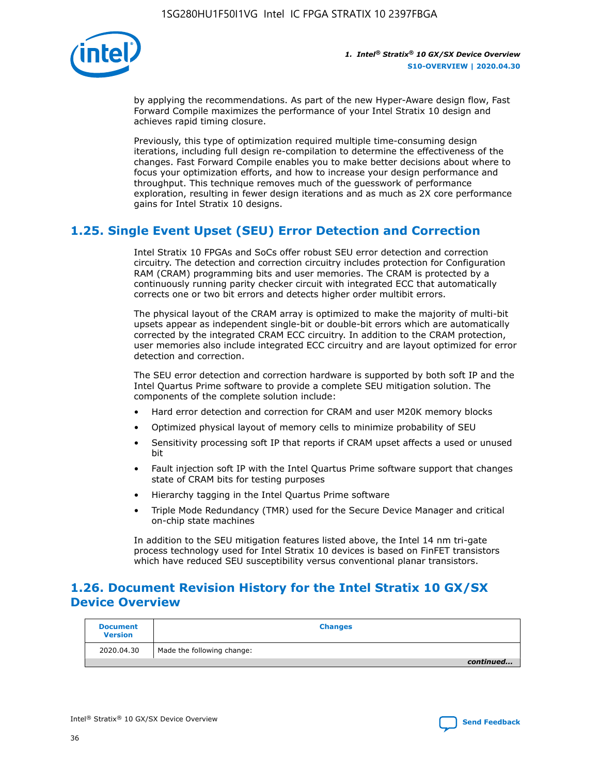

by applying the recommendations. As part of the new Hyper-Aware design flow, Fast Forward Compile maximizes the performance of your Intel Stratix 10 design and achieves rapid timing closure.

Previously, this type of optimization required multiple time-consuming design iterations, including full design re-compilation to determine the effectiveness of the changes. Fast Forward Compile enables you to make better decisions about where to focus your optimization efforts, and how to increase your design performance and throughput. This technique removes much of the guesswork of performance exploration, resulting in fewer design iterations and as much as 2X core performance gains for Intel Stratix 10 designs.

### **1.25. Single Event Upset (SEU) Error Detection and Correction**

Intel Stratix 10 FPGAs and SoCs offer robust SEU error detection and correction circuitry. The detection and correction circuitry includes protection for Configuration RAM (CRAM) programming bits and user memories. The CRAM is protected by a continuously running parity checker circuit with integrated ECC that automatically corrects one or two bit errors and detects higher order multibit errors.

The physical layout of the CRAM array is optimized to make the majority of multi-bit upsets appear as independent single-bit or double-bit errors which are automatically corrected by the integrated CRAM ECC circuitry. In addition to the CRAM protection, user memories also include integrated ECC circuitry and are layout optimized for error detection and correction.

The SEU error detection and correction hardware is supported by both soft IP and the Intel Quartus Prime software to provide a complete SEU mitigation solution. The components of the complete solution include:

- Hard error detection and correction for CRAM and user M20K memory blocks
- Optimized physical layout of memory cells to minimize probability of SEU
- Sensitivity processing soft IP that reports if CRAM upset affects a used or unused bit
- Fault injection soft IP with the Intel Quartus Prime software support that changes state of CRAM bits for testing purposes
- Hierarchy tagging in the Intel Quartus Prime software
- Triple Mode Redundancy (TMR) used for the Secure Device Manager and critical on-chip state machines

In addition to the SEU mitigation features listed above, the Intel 14 nm tri-gate process technology used for Intel Stratix 10 devices is based on FinFET transistors which have reduced SEU susceptibility versus conventional planar transistors.

### **1.26. Document Revision History for the Intel Stratix 10 GX/SX Device Overview**

| <b>Document</b><br><b>Version</b> | <b>Changes</b>             |
|-----------------------------------|----------------------------|
| 2020.04.30                        | Made the following change: |
|                                   | continued                  |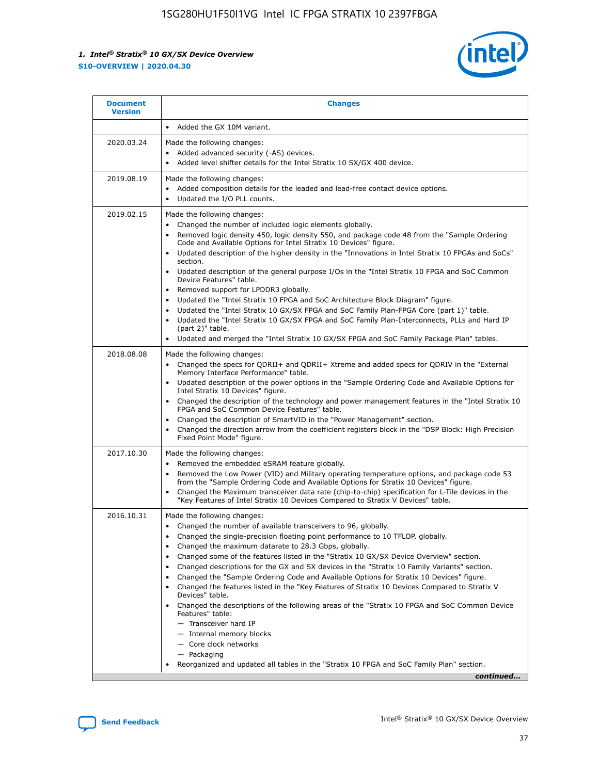

| <b>Document</b><br><b>Version</b> | <b>Changes</b>                                                                                                                                                                                                                                                                                                                                                                                                                                                                                                                                                                                                                                                                                                                                                                                                                                                                                                                                                                                              |
|-----------------------------------|-------------------------------------------------------------------------------------------------------------------------------------------------------------------------------------------------------------------------------------------------------------------------------------------------------------------------------------------------------------------------------------------------------------------------------------------------------------------------------------------------------------------------------------------------------------------------------------------------------------------------------------------------------------------------------------------------------------------------------------------------------------------------------------------------------------------------------------------------------------------------------------------------------------------------------------------------------------------------------------------------------------|
|                                   | Added the GX 10M variant.                                                                                                                                                                                                                                                                                                                                                                                                                                                                                                                                                                                                                                                                                                                                                                                                                                                                                                                                                                                   |
| 2020.03.24                        | Made the following changes:<br>Added advanced security (-AS) devices.<br>Added level shifter details for the Intel Stratix 10 SX/GX 400 device.                                                                                                                                                                                                                                                                                                                                                                                                                                                                                                                                                                                                                                                                                                                                                                                                                                                             |
| 2019.08.19                        | Made the following changes:<br>Added composition details for the leaded and lead-free contact device options.<br>$\bullet$<br>Updated the I/O PLL counts.                                                                                                                                                                                                                                                                                                                                                                                                                                                                                                                                                                                                                                                                                                                                                                                                                                                   |
| 2019.02.15                        | Made the following changes:<br>Changed the number of included logic elements globally.<br>$\bullet$<br>Removed logic density 450, logic density 550, and package code 48 from the "Sample Ordering<br>$\bullet$<br>Code and Available Options for Intel Stratix 10 Devices" figure.<br>Updated description of the higher density in the "Innovations in Intel Stratix 10 FPGAs and SoCs"<br>section.<br>Updated description of the general purpose I/Os in the "Intel Stratix 10 FPGA and SoC Common<br>$\bullet$<br>Device Features" table.<br>Removed support for LPDDR3 globally.<br>Updated the "Intel Stratix 10 FPGA and SoC Architecture Block Diagram" figure.<br>$\bullet$<br>Updated the "Intel Stratix 10 GX/SX FPGA and SoC Family Plan-FPGA Core (part 1)" table.<br>$\bullet$<br>Updated the "Intel Stratix 10 GX/SX FPGA and SoC Family Plan-Interconnects, PLLs and Hard IP<br>(part 2)" table.<br>Updated and merged the "Intel Stratix 10 GX/SX FPGA and SoC Family Package Plan" tables. |
| 2018.08.08                        | Made the following changes:<br>Changed the specs for QDRII+ and QDRII+ Xtreme and added specs for QDRIV in the "External<br>$\bullet$<br>Memory Interface Performance" table.<br>Updated description of the power options in the "Sample Ordering Code and Available Options for<br>Intel Stratix 10 Devices" figure.<br>Changed the description of the technology and power management features in the "Intel Stratix 10<br>FPGA and SoC Common Device Features" table.<br>Changed the description of SmartVID in the "Power Management" section.<br>Changed the direction arrow from the coefficient registers block in the "DSP Block: High Precision<br>$\bullet$<br>Fixed Point Mode" figure.                                                                                                                                                                                                                                                                                                          |
| 2017.10.30                        | Made the following changes:<br>Removed the embedded eSRAM feature globally.<br>$\bullet$<br>Removed the Low Power (VID) and Military operating temperature options, and package code 53<br>$\bullet$<br>from the "Sample Ordering Code and Available Options for Stratix 10 Devices" figure.<br>Changed the Maximum transceiver data rate (chip-to-chip) specification for L-Tile devices in the<br>"Key Features of Intel Stratix 10 Devices Compared to Stratix V Devices" table.                                                                                                                                                                                                                                                                                                                                                                                                                                                                                                                         |
| 2016.10.31                        | Made the following changes:<br>• Changed the number of available transceivers to 96, globally.<br>Changed the single-precision floating point performance to 10 TFLOP, globally.<br>Changed the maximum datarate to 28.3 Gbps, globally.<br>٠<br>Changed some of the features listed in the "Stratix 10 GX/SX Device Overview" section.<br>$\bullet$<br>Changed descriptions for the GX and SX devices in the "Stratix 10 Family Variants" section.<br>$\bullet$<br>Changed the "Sample Ordering Code and Available Options for Stratix 10 Devices" figure.<br>Changed the features listed in the "Key Features of Stratix 10 Devices Compared to Stratix V<br>Devices" table.<br>Changed the descriptions of the following areas of the "Stratix 10 FPGA and SoC Common Device<br>Features" table:<br>- Transceiver hard IP<br>- Internal memory blocks<br>- Core clock networks<br>- Packaging<br>Reorganized and updated all tables in the "Stratix 10 FPGA and SoC Family Plan" section.                |
|                                   | continued                                                                                                                                                                                                                                                                                                                                                                                                                                                                                                                                                                                                                                                                                                                                                                                                                                                                                                                                                                                                   |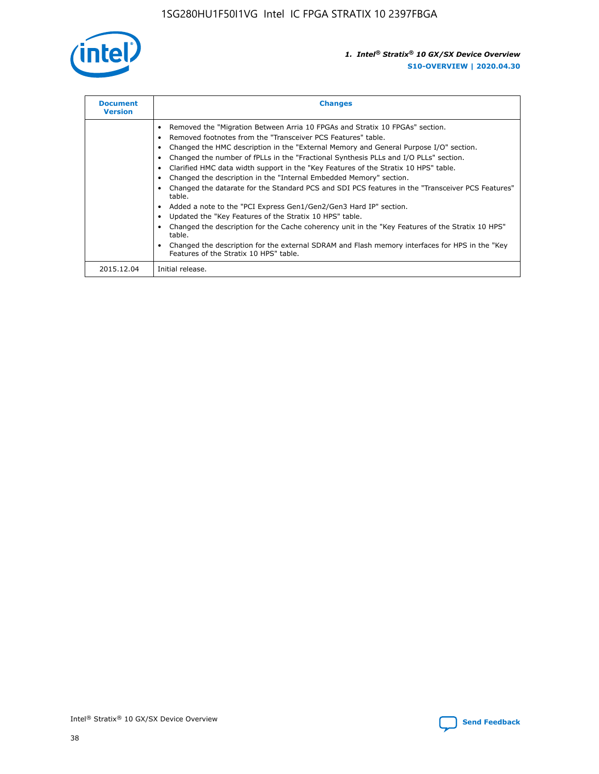

| <b>Document</b><br><b>Version</b> | <b>Changes</b>                                                                                                                                                                                                                                                                                                                                                                                                                                                                                                                                                                                                                                                                                                                                                                                                                                                                                                                                                                                     |
|-----------------------------------|----------------------------------------------------------------------------------------------------------------------------------------------------------------------------------------------------------------------------------------------------------------------------------------------------------------------------------------------------------------------------------------------------------------------------------------------------------------------------------------------------------------------------------------------------------------------------------------------------------------------------------------------------------------------------------------------------------------------------------------------------------------------------------------------------------------------------------------------------------------------------------------------------------------------------------------------------------------------------------------------------|
|                                   | Removed the "Migration Between Arria 10 FPGAs and Stratix 10 FPGAs" section.<br>Removed footnotes from the "Transceiver PCS Features" table.<br>Changed the HMC description in the "External Memory and General Purpose I/O" section.<br>Changed the number of fPLLs in the "Fractional Synthesis PLLs and I/O PLLs" section.<br>Clarified HMC data width support in the "Key Features of the Stratix 10 HPS" table.<br>Changed the description in the "Internal Embedded Memory" section.<br>Changed the datarate for the Standard PCS and SDI PCS features in the "Transceiver PCS Features"<br>table.<br>Added a note to the "PCI Express Gen1/Gen2/Gen3 Hard IP" section.<br>Updated the "Key Features of the Stratix 10 HPS" table.<br>Changed the description for the Cache coherency unit in the "Key Features of the Stratix 10 HPS"<br>table.<br>Changed the description for the external SDRAM and Flash memory interfaces for HPS in the "Key<br>Features of the Stratix 10 HPS" table. |
| 2015.12.04                        | Initial release.                                                                                                                                                                                                                                                                                                                                                                                                                                                                                                                                                                                                                                                                                                                                                                                                                                                                                                                                                                                   |